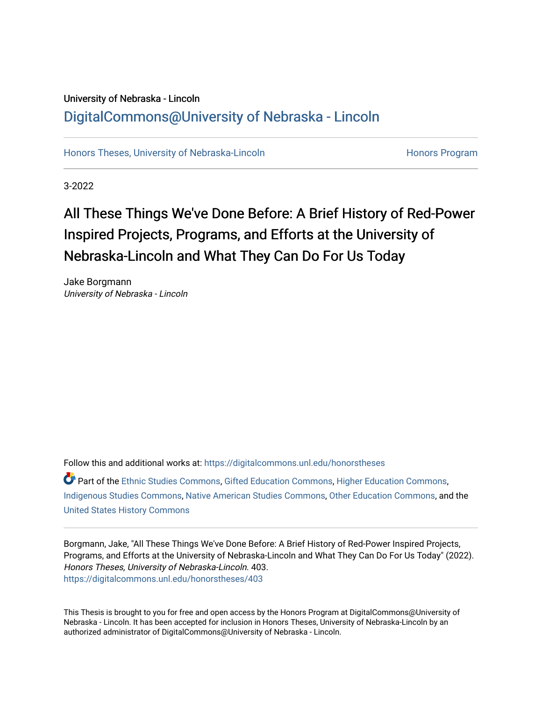### University of Nebraska - Lincoln [DigitalCommons@University of Nebraska - Lincoln](https://digitalcommons.unl.edu/)

[Honors Theses, University of Nebraska-Lincoln](https://digitalcommons.unl.edu/honorstheses) **Honors Program** Honors Program

3-2022

# All These Things We've Done Before: A Brief History of Red-Power Inspired Projects, Programs, and Efforts at the University of Nebraska-Lincoln and What They Can Do For Us Today

Jake Borgmann University of Nebraska - Lincoln

Follow this and additional works at: [https://digitalcommons.unl.edu/honorstheses](https://digitalcommons.unl.edu/honorstheses?utm_source=digitalcommons.unl.edu%2Fhonorstheses%2F403&utm_medium=PDF&utm_campaign=PDFCoverPages)

Part of the [Ethnic Studies Commons](http://network.bepress.com/hgg/discipline/570?utm_source=digitalcommons.unl.edu%2Fhonorstheses%2F403&utm_medium=PDF&utm_campaign=PDFCoverPages), [Gifted Education Commons,](http://network.bepress.com/hgg/discipline/1048?utm_source=digitalcommons.unl.edu%2Fhonorstheses%2F403&utm_medium=PDF&utm_campaign=PDFCoverPages) [Higher Education Commons](http://network.bepress.com/hgg/discipline/1245?utm_source=digitalcommons.unl.edu%2Fhonorstheses%2F403&utm_medium=PDF&utm_campaign=PDFCoverPages), [Indigenous Studies Commons](http://network.bepress.com/hgg/discipline/571?utm_source=digitalcommons.unl.edu%2Fhonorstheses%2F403&utm_medium=PDF&utm_campaign=PDFCoverPages), [Native American Studies Commons,](http://network.bepress.com/hgg/discipline/1434?utm_source=digitalcommons.unl.edu%2Fhonorstheses%2F403&utm_medium=PDF&utm_campaign=PDFCoverPages) [Other Education Commons,](http://network.bepress.com/hgg/discipline/811?utm_source=digitalcommons.unl.edu%2Fhonorstheses%2F403&utm_medium=PDF&utm_campaign=PDFCoverPages) and the [United States History Commons](http://network.bepress.com/hgg/discipline/495?utm_source=digitalcommons.unl.edu%2Fhonorstheses%2F403&utm_medium=PDF&utm_campaign=PDFCoverPages)

Borgmann, Jake, "All These Things We've Done Before: A Brief History of Red-Power Inspired Projects, Programs, and Efforts at the University of Nebraska-Lincoln and What They Can Do For Us Today" (2022). Honors Theses, University of Nebraska-Lincoln. 403. [https://digitalcommons.unl.edu/honorstheses/403](https://digitalcommons.unl.edu/honorstheses/403?utm_source=digitalcommons.unl.edu%2Fhonorstheses%2F403&utm_medium=PDF&utm_campaign=PDFCoverPages)

This Thesis is brought to you for free and open access by the Honors Program at DigitalCommons@University of Nebraska - Lincoln. It has been accepted for inclusion in Honors Theses, University of Nebraska-Lincoln by an authorized administrator of DigitalCommons@University of Nebraska - Lincoln.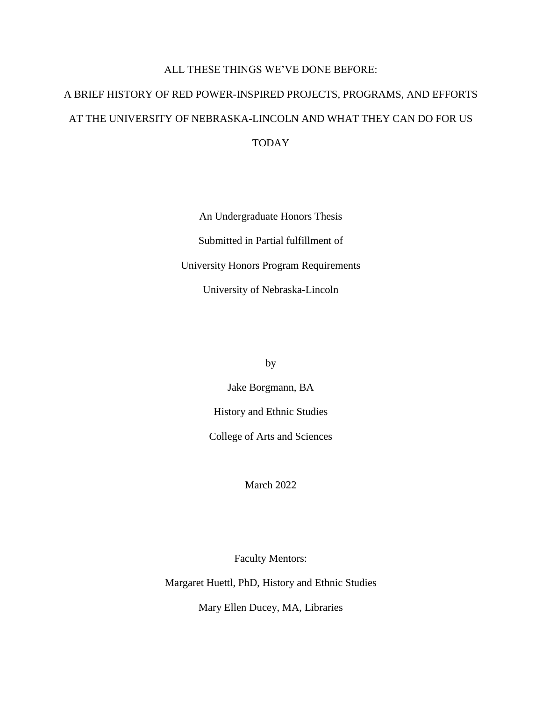### ALL THESE THINGS WE'VE DONE BEFORE:

# A BRIEF HISTORY OF RED POWER-INSPIRED PROJECTS, PROGRAMS, AND EFFORTS AT THE UNIVERSITY OF NEBRASKA-LINCOLN AND WHAT THEY CAN DO FOR US TODAY

An Undergraduate Honors Thesis Submitted in Partial fulfillment of University Honors Program Requirements University of Nebraska-Lincoln

by

Jake Borgmann, BA

History and Ethnic Studies

College of Arts and Sciences

March 2022

Faculty Mentors:

Margaret Huettl, PhD, History and Ethnic Studies

Mary Ellen Ducey, MA, Libraries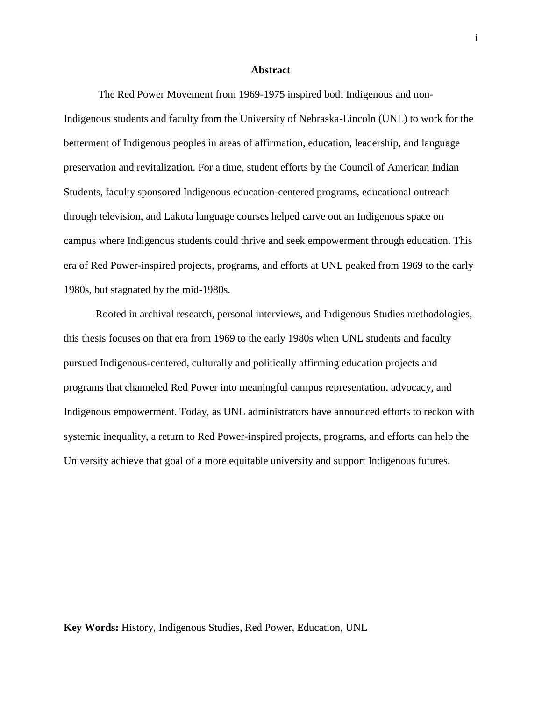#### **Abstract**

The Red Power Movement from 1969-1975 inspired both Indigenous and non-Indigenous students and faculty from the University of Nebraska-Lincoln (UNL) to work for the betterment of Indigenous peoples in areas of affirmation, education, leadership, and language preservation and revitalization. For a time, student efforts by the Council of American Indian Students, faculty sponsored Indigenous education-centered programs, educational outreach through television, and Lakota language courses helped carve out an Indigenous space on campus where Indigenous students could thrive and seek empowerment through education. This era of Red Power-inspired projects, programs, and efforts at UNL peaked from 1969 to the early 1980s, but stagnated by the mid-1980s.

Rooted in archival research, personal interviews, and Indigenous Studies methodologies, this thesis focuses on that era from 1969 to the early 1980s when UNL students and faculty pursued Indigenous-centered, culturally and politically affirming education projects and programs that channeled Red Power into meaningful campus representation, advocacy, and Indigenous empowerment. Today, as UNL administrators have announced efforts to reckon with systemic inequality, a return to Red Power-inspired projects, programs, and efforts can help the University achieve that goal of a more equitable university and support Indigenous futures.

**Key Words:** History, Indigenous Studies, Red Power, Education, UNL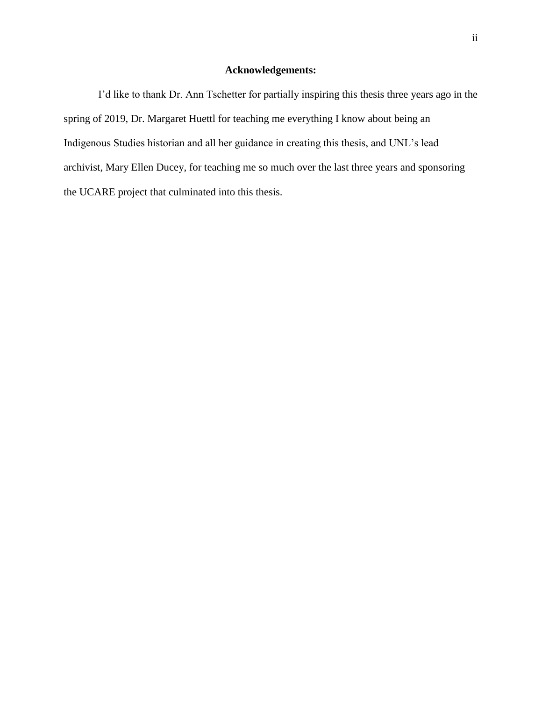### **Acknowledgements:**

I'd like to thank Dr. Ann Tschetter for partially inspiring this thesis three years ago in the spring of 2019, Dr. Margaret Huettl for teaching me everything I know about being an Indigenous Studies historian and all her guidance in creating this thesis, and UNL's lead archivist, Mary Ellen Ducey, for teaching me so much over the last three years and sponsoring the UCARE project that culminated into this thesis.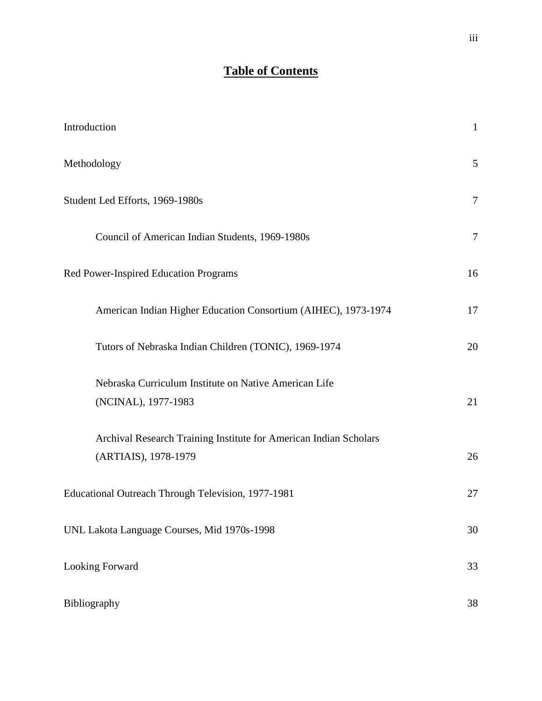## **Table of Contents**

| Introduction                                                                              | $\mathbf{1}$   |
|-------------------------------------------------------------------------------------------|----------------|
| Methodology                                                                               | 5              |
| Student Led Efforts, 1969-1980s                                                           | $\overline{7}$ |
| Council of American Indian Students, 1969-1980s                                           | $\overline{7}$ |
| Red Power-Inspired Education Programs                                                     | 16             |
| American Indian Higher Education Consortium (AIHEC), 1973-1974                            | 17             |
| Tutors of Nebraska Indian Children (TONIC), 1969-1974                                     | 20             |
| Nebraska Curriculum Institute on Native American Life<br>(NCINAL), 1977-1983              | 21             |
| Archival Research Training Institute for American Indian Scholars<br>(ARTIAIS), 1978-1979 | 26             |
| Educational Outreach Through Television, 1977-1981                                        | 27             |
| UNL Lakota Language Courses, Mid 1970s-1998                                               | 30             |
| <b>Looking Forward</b>                                                                    | 33             |
| Bibliography                                                                              | 38             |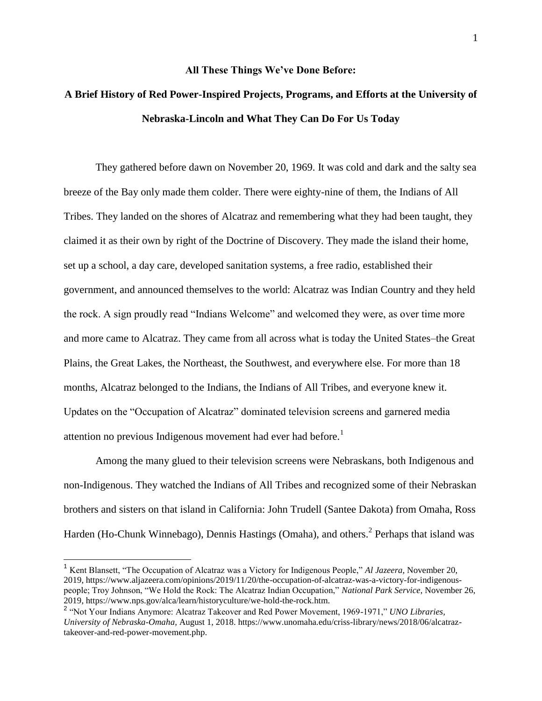#### **All These Things We've Done Before:**

## **A Brief History of Red Power-Inspired Projects, Programs, and Efforts at the University of Nebraska-Lincoln and What They Can Do For Us Today**

They gathered before dawn on November 20, 1969. It was cold and dark and the salty sea breeze of the Bay only made them colder. There were eighty-nine of them, the Indians of All Tribes. They landed on the shores of Alcatraz and remembering what they had been taught, they claimed it as their own by right of the Doctrine of Discovery. They made the island their home, set up a school, a day care, developed sanitation systems, a free radio, established their government, and announced themselves to the world: Alcatraz was Indian Country and they held the rock. A sign proudly read "Indians Welcome" and welcomed they were, as over time more and more came to Alcatraz. They came from all across what is today the United States–the Great Plains, the Great Lakes, the Northeast, the Southwest, and everywhere else. For more than 18 months, Alcatraz belonged to the Indians, the Indians of All Tribes, and everyone knew it. Updates on the "Occupation of Alcatraz" dominated television screens and garnered media attention no previous Indigenous movement had ever had before.<sup>1</sup>

Among the many glued to their television screens were Nebraskans, both Indigenous and non-Indigenous. They watched the Indians of All Tribes and recognized some of their Nebraskan brothers and sisters on that island in California: John Trudell (Santee Dakota) from Omaha, Ross Harden (Ho-Chunk Winnebago), Dennis Hastings (Omaha), and others.<sup>2</sup> Perhaps that island was

<sup>1</sup> Kent Blansett, "The Occupation of Alcatraz was a Victory for Indigenous People," *Al Jazeera*, November 20, 2019, https://www.aljazeera.com/opinions/2019/11/20/the-occupation-of-alcatraz-was-a-victory-for-indigenouspeople; Troy Johnson, "We Hold the Rock: The Alcatraz Indian Occupation," *National Park Service*, November 26, 2019, https://www.nps.gov/alca/learn/historyculture/we-hold-the-rock.htm.

<sup>2</sup> "Not Your Indians Anymore: Alcatraz Takeover and Red Power Movement, 1969-1971," *UNO Libraries, University of Nebraska-Omaha,* August 1, 2018. https://www.unomaha.edu/criss-library/news/2018/06/alcatraztakeover-and-red-power-movement.php.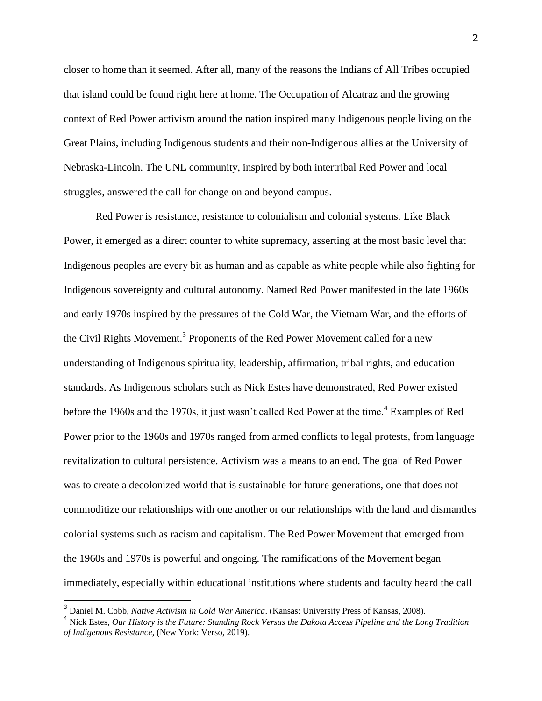closer to home than it seemed. After all, many of the reasons the Indians of All Tribes occupied that island could be found right here at home. The Occupation of Alcatraz and the growing context of Red Power activism around the nation inspired many Indigenous people living on the Great Plains, including Indigenous students and their non-Indigenous allies at the University of Nebraska-Lincoln. The UNL community, inspired by both intertribal Red Power and local struggles, answered the call for change on and beyond campus.

Red Power is resistance, resistance to colonialism and colonial systems. Like Black Power, it emerged as a direct counter to white supremacy, asserting at the most basic level that Indigenous peoples are every bit as human and as capable as white people while also fighting for Indigenous sovereignty and cultural autonomy. Named Red Power manifested in the late 1960s and early 1970s inspired by the pressures of the Cold War, the Vietnam War, and the efforts of the Civil Rights Movement.<sup>3</sup> Proponents of the Red Power Movement called for a new understanding of Indigenous spirituality, leadership, affirmation, tribal rights, and education standards. As Indigenous scholars such as Nick Estes have demonstrated, Red Power existed before the 1960s and the 1970s, it just wasn't called Red Power at the time.<sup>4</sup> Examples of Red Power prior to the 1960s and 1970s ranged from armed conflicts to legal protests, from language revitalization to cultural persistence. Activism was a means to an end. The goal of Red Power was to create a decolonized world that is sustainable for future generations, one that does not commoditize our relationships with one another or our relationships with the land and dismantles colonial systems such as racism and capitalism. The Red Power Movement that emerged from the 1960s and 1970s is powerful and ongoing. The ramifications of the Movement began immediately, especially within educational institutions where students and faculty heard the call

<sup>3</sup> Daniel M. Cobb, *Native Activism in Cold War America*. (Kansas: University Press of Kansas, 2008).

<sup>4</sup> Nick Estes, *Our History is the Future: Standing Rock Versus the Dakota Access Pipeline and the Long Tradition of Indigenous Resistance*, (New York: Verso, 2019).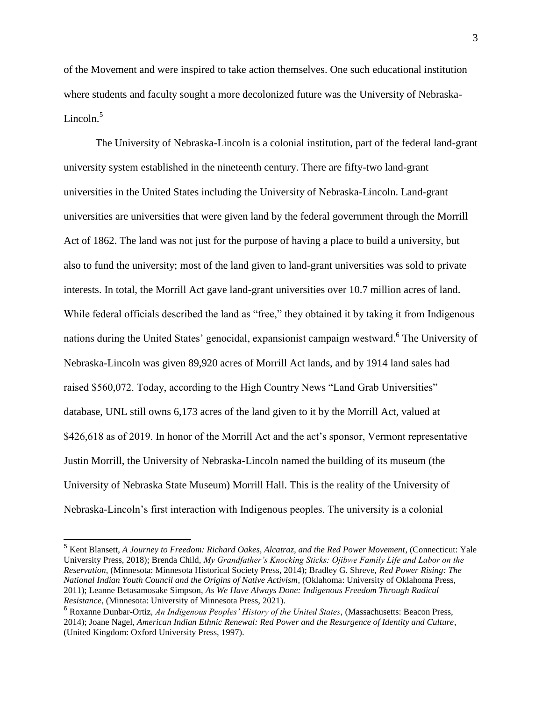of the Movement and were inspired to take action themselves. One such educational institution where students and faculty sought a more decolonized future was the University of Nebraska-Lincoln. $5$ 

The University of Nebraska-Lincoln is a colonial institution, part of the federal land-grant university system established in the nineteenth century. There are fifty-two land-grant universities in the United States including the University of Nebraska-Lincoln. Land-grant universities are universities that were given land by the federal government through the Morrill Act of 1862. The land was not just for the purpose of having a place to build a university, but also to fund the university; most of the land given to land-grant universities was sold to private interests. In total, the Morrill Act gave land-grant universities over 10.7 million acres of land. While federal officials described the land as "free," they obtained it by taking it from Indigenous nations during the United States' genocidal, expansionist campaign westward. <sup>6</sup> The University of Nebraska-Lincoln was given 89,920 acres of Morrill Act lands, and by 1914 land sales had raised \$560,072. Today, according to the High Country News "Land Grab Universities" database, UNL still owns 6,173 acres of the land given to it by the Morrill Act, valued at \$426,618 as of 2019. In honor of the Morrill Act and the act's sponsor, Vermont representative Justin Morrill, the University of Nebraska-Lincoln named the building of its museum (the University of Nebraska State Museum) Morrill Hall. This is the reality of the University of Nebraska-Lincoln's first interaction with Indigenous peoples. The university is a colonial

<sup>5</sup> Kent Blansett, *A Journey to Freedom: Richard Oakes, Alcatraz, and the Red Power Movement*, (Connecticut: Yale University Press, 2018); Brenda Child, *My Grandfather's Knocking Sticks: Ojibwe Family Life and Labor on the Reservation*, (Minnesota: Minnesota Historical Society Press, 2014); Bradley G. Shreve, *Red Power Rising: The National Indian Youth Council and the Origins of Native Activism*, (Oklahoma: University of Oklahoma Press, 2011); Leanne Betasamosake Simpson, *As We Have Always Done: Indigenous Freedom Through Radical Resistance*, (Minnesota: University of Minnesota Press, 2021).

<sup>6</sup> Roxanne Dunbar-Ortiz, *An Indigenous Peoples' History of the United States*, (Massachusetts: Beacon Press, 2014); Joane Nagel, *American Indian Ethnic Renewal: Red Power and the Resurgence of Identity and Culture*, (United Kingdom: Oxford University Press, 1997).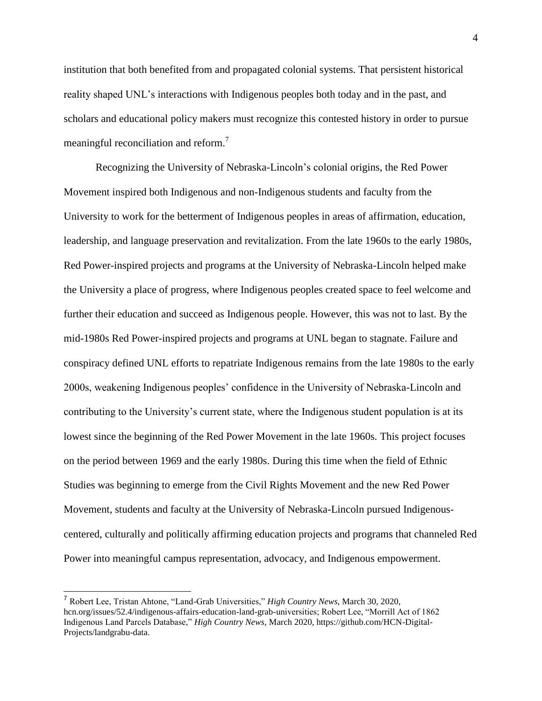institution that both benefited from and propagated colonial systems. That persistent historical reality shaped UNL's interactions with Indigenous peoples both today and in the past, and scholars and educational policy makers must recognize this contested history in order to pursue meaningful reconciliation and reform.<sup>7</sup>

Recognizing the University of Nebraska-Lincoln's colonial origins, the Red Power Movement inspired both Indigenous and non-Indigenous students and faculty from the University to work for the betterment of Indigenous peoples in areas of affirmation, education, leadership, and language preservation and revitalization. From the late 1960s to the early 1980s, Red Power-inspired projects and programs at the University of Nebraska-Lincoln helped make the University a place of progress, where Indigenous peoples created space to feel welcome and further their education and succeed as Indigenous people. However, this was not to last. By the mid-1980s Red Power-inspired projects and programs at UNL began to stagnate. Failure and conspiracy defined UNL efforts to repatriate Indigenous remains from the late 1980s to the early 2000s, weakening Indigenous peoples' confidence in the University of Nebraska-Lincoln and contributing to the University's current state, where the Indigenous student population is at its lowest since the beginning of the Red Power Movement in the late 1960s. This project focuses on the period between 1969 and the early 1980s. During this time when the field of Ethnic Studies was beginning to emerge from the Civil Rights Movement and the new Red Power Movement, students and faculty at the University of Nebraska-Lincoln pursued Indigenouscentered, culturally and politically affirming education projects and programs that channeled Red Power into meaningful campus representation, advocacy, and Indigenous empowerment.

<sup>7</sup> Robert Lee, Tristan Ahtone, "Land-Grab Universities," *High Country News*, March 30, 2020, hcn.org/issues/52.4/indigenous-affairs-education-land-grab-universities; Robert Lee, "Morrill Act of 1862 Indigenous Land Parcels Database," *High Country News*, March 2020, https://github.com/HCN-Digital-Projects/landgrabu-data.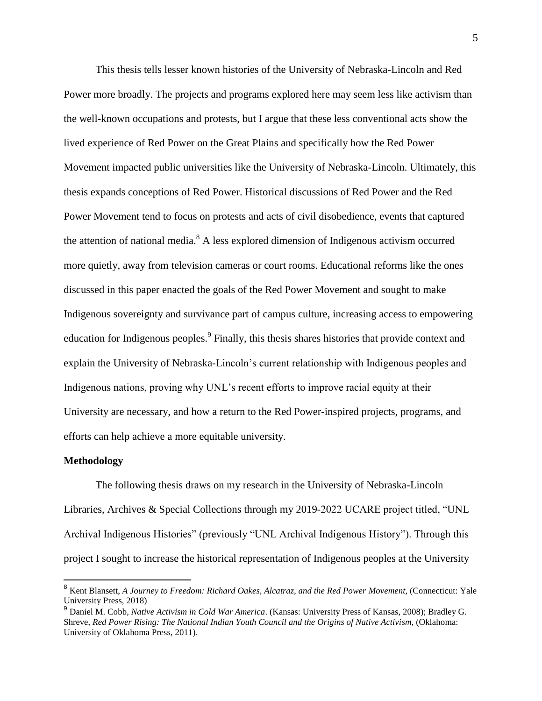This thesis tells lesser known histories of the University of Nebraska-Lincoln and Red Power more broadly. The projects and programs explored here may seem less like activism than the well-known occupations and protests, but I argue that these less conventional acts show the lived experience of Red Power on the Great Plains and specifically how the Red Power Movement impacted public universities like the University of Nebraska-Lincoln. Ultimately, this thesis expands conceptions of Red Power. Historical discussions of Red Power and the Red Power Movement tend to focus on protests and acts of civil disobedience, events that captured the attention of national media.<sup>8</sup> A less explored dimension of Indigenous activism occurred more quietly, away from television cameras or court rooms. Educational reforms like the ones discussed in this paper enacted the goals of the Red Power Movement and sought to make Indigenous sovereignty and survivance part of campus culture, increasing access to empowering education for Indigenous peoples. <sup>9</sup> Finally, this thesis shares histories that provide context and explain the University of Nebraska-Lincoln's current relationship with Indigenous peoples and Indigenous nations, proving why UNL's recent efforts to improve racial equity at their University are necessary, and how a return to the Red Power-inspired projects, programs, and efforts can help achieve a more equitable university.

#### **Methodology**

The following thesis draws on my research in the University of Nebraska-Lincoln Libraries, Archives & Special Collections through my 2019-2022 UCARE project titled, "UNL Archival Indigenous Histories" (previously "UNL Archival Indigenous History"). Through this project I sought to increase the historical representation of Indigenous peoples at the University

<sup>8</sup> Kent Blansett, *A Journey to Freedom: Richard Oakes, Alcatraz, and the Red Power Movement*, (Connecticut: Yale University Press, 2018)

<sup>9</sup> Daniel M. Cobb, *Native Activism in Cold War America*. (Kansas: University Press of Kansas, 2008); Bradley G. Shreve, *Red Power Rising: The National Indian Youth Council and the Origins of Native Activism*, (Oklahoma: University of Oklahoma Press, 2011).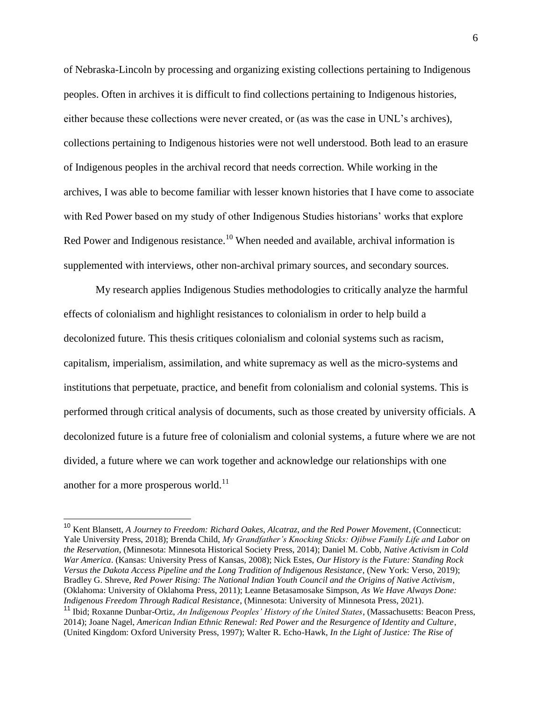of Nebraska-Lincoln by processing and organizing existing collections pertaining to Indigenous peoples. Often in archives it is difficult to find collections pertaining to Indigenous histories, either because these collections were never created, or (as was the case in UNL's archives), collections pertaining to Indigenous histories were not well understood. Both lead to an erasure of Indigenous peoples in the archival record that needs correction. While working in the archives, I was able to become familiar with lesser known histories that I have come to associate with Red Power based on my study of other Indigenous Studies historians' works that explore Red Power and Indigenous resistance.<sup>10</sup> When needed and available, archival information is supplemented with interviews, other non-archival primary sources, and secondary sources.

My research applies Indigenous Studies methodologies to critically analyze the harmful effects of colonialism and highlight resistances to colonialism in order to help build a decolonized future. This thesis critiques colonialism and colonial systems such as racism, capitalism, imperialism, assimilation, and white supremacy as well as the micro-systems and institutions that perpetuate, practice, and benefit from colonialism and colonial systems. This is performed through critical analysis of documents, such as those created by university officials. A decolonized future is a future free of colonialism and colonial systems, a future where we are not divided, a future where we can work together and acknowledge our relationships with one another for a more prosperous world.<sup>11</sup>

<sup>10</sup> Kent Blansett, *A Journey to Freedom: Richard Oakes, Alcatraz, and the Red Power Movement*, (Connecticut: Yale University Press, 2018); Brenda Child, *My Grandfather's Knocking Sticks: Ojibwe Family Life and Labor on the Reservation*, (Minnesota: Minnesota Historical Society Press, 2014); Daniel M. Cobb, *Native Activism in Cold War America*. (Kansas: University Press of Kansas, 2008); Nick Estes, *Our History is the Future: Standing Rock Versus the Dakota Access Pipeline and the Long Tradition of Indigenous Resistance*, (New York: Verso, 2019); Bradley G. Shreve, *Red Power Rising: The National Indian Youth Council and the Origins of Native Activism*, (Oklahoma: University of Oklahoma Press, 2011); Leanne Betasamosake Simpson, *As We Have Always Done: Indigenous Freedom Through Radical Resistance*, (Minnesota: University of Minnesota Press, 2021).

<sup>11</sup> Ibid; Roxanne Dunbar-Ortiz, *An Indigenous Peoples' History of the United States*, (Massachusetts: Beacon Press, 2014); Joane Nagel, *American Indian Ethnic Renewal: Red Power and the Resurgence of Identity and Culture*, (United Kingdom: Oxford University Press, 1997); Walter R. Echo-Hawk, *In the Light of Justice: The Rise of*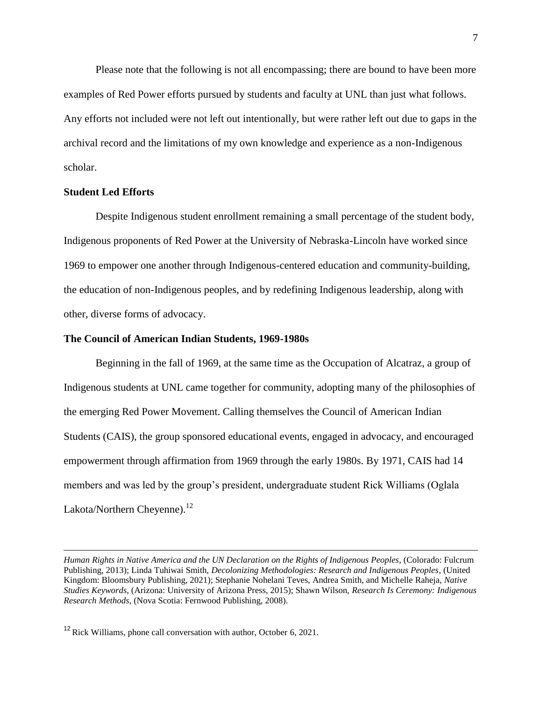Please note that the following is not all encompassing; there are bound to have been more examples of Red Power efforts pursued by students and faculty at UNL than just what follows. Any efforts not included were not left out intentionally, but were rather left out due to gaps in the archival record and the limitations of my own knowledge and experience as a non-Indigenous scholar.

#### **Student Led Efforts**

Despite Indigenous student enrollment remaining a small percentage of the student body, Indigenous proponents of Red Power at the University of Nebraska-Lincoln have worked since 1969 to empower one another through Indigenous-centered education and community-building, the education of non-Indigenous peoples, and by redefining Indigenous leadership, along with other, diverse forms of advocacy.

#### **The Council of American Indian Students, 1969-1980s**

Beginning in the fall of 1969, at the same time as the Occupation of Alcatraz, a group of Indigenous students at UNL came together for community, adopting many of the philosophies of the emerging Red Power Movement. Calling themselves the Council of American Indian Students (CAIS), the group sponsored educational events, engaged in advocacy, and encouraged empowerment through affirmation from 1969 through the early 1980s. By 1971, CAIS had 14 members and was led by the group's president, undergraduate student Rick Williams (Oglala Lakota/Northern Cheyenne).<sup>12</sup>

*Human Rights in Native America and the UN Declaration on the Rights of Indigenous Peoples*, (Colorado: Fulcrum Publishing, 2013); Linda Tuhiwai Smith, *Decolonizing Methodologies: Research and Indigenous Peoples*, (United Kingdom: Bloomsbury Publishing, 2021); Stephanie Nohelani Teves, Andrea Smith, and Michelle Raheja, *Native Studies Keywords*, (Arizona: University of Arizona Press, 2015); Shawn Wilson, *Research Is Ceremony: Indigenous Research Methods*, (Nova Scotia: Fernwood Publishing, 2008).

 $12$  Rick Williams, phone call conversation with author, October 6, 2021.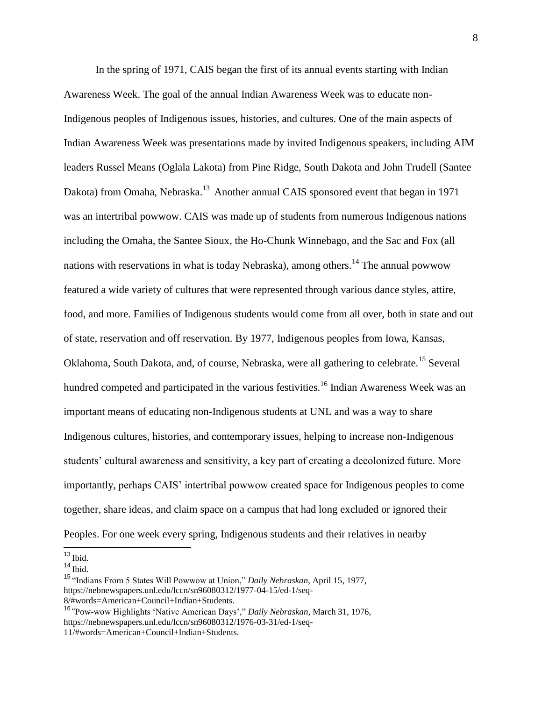In the spring of 1971, CAIS began the first of its annual events starting with Indian Awareness Week. The goal of the annual Indian Awareness Week was to educate non-Indigenous peoples of Indigenous issues, histories, and cultures. One of the main aspects of Indian Awareness Week was presentations made by invited Indigenous speakers, including AIM leaders Russel Means (Oglala Lakota) from Pine Ridge, South Dakota and John Trudell (Santee Dakota) from Omaha, Nebraska.<sup>13</sup> Another annual CAIS sponsored event that began in 1971 was an intertribal powwow. CAIS was made up of students from numerous Indigenous nations including the Omaha, the Santee Sioux, the Ho-Chunk Winnebago, and the Sac and Fox (all nations with reservations in what is today Nebraska), among others.<sup>14</sup> The annual powwow featured a wide variety of cultures that were represented through various dance styles, attire, food, and more. Families of Indigenous students would come from all over, both in state and out of state, reservation and off reservation. By 1977, Indigenous peoples from Iowa, Kansas, Oklahoma, South Dakota, and, of course, Nebraska, were all gathering to celebrate.<sup>15</sup> Several hundred competed and participated in the various festivities.<sup>16</sup> Indian Awareness Week was an important means of educating non-Indigenous students at UNL and was a way to share Indigenous cultures, histories, and contemporary issues, helping to increase non-Indigenous students' cultural awareness and sensitivity, a key part of creating a decolonized future. More importantly, perhaps CAIS' intertribal powwow created space for Indigenous peoples to come together, share ideas, and claim space on a campus that had long excluded or ignored their Peoples. For one week every spring, Indigenous students and their relatives in nearby

  $13$  Ibid.

 $14$  Ibid.

<sup>15</sup> "Indians From 5 States Will Powwow at Union," *Daily Nebraskan*, April 15, 1977, https://nebnewspapers.unl.edu/lccn/sn96080312/1977-04-15/ed-1/seq-8/#words=American+Council+Indian+Students.

<sup>16</sup> "Pow-wow Highlights 'Native American Days'," *Daily Nebraskan*, March 31, 1976, https://nebnewspapers.unl.edu/lccn/sn96080312/1976-03-31/ed-1/seq-11/#words=American+Council+Indian+Students.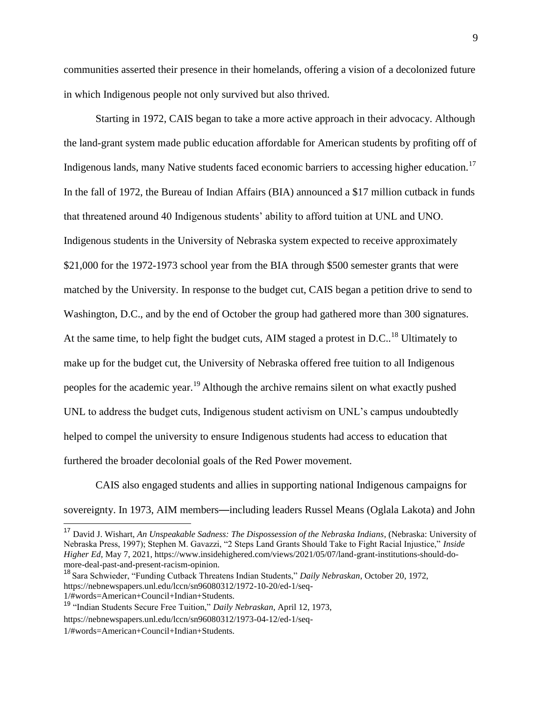communities asserted their presence in their homelands, offering a vision of a decolonized future in which Indigenous people not only survived but also thrived.

Starting in 1972, CAIS began to take a more active approach in their advocacy. Although the land-grant system made public education affordable for American students by profiting off of Indigenous lands, many Native students faced economic barriers to accessing higher education.<sup>17</sup> In the fall of 1972, the Bureau of Indian Affairs (BIA) announced a \$17 million cutback in funds that threatened around 40 Indigenous students' ability to afford tuition at UNL and UNO. Indigenous students in the University of Nebraska system expected to receive approximately \$21,000 for the 1972-1973 school year from the BIA through \$500 semester grants that were matched by the University. In response to the budget cut, CAIS began a petition drive to send to Washington, D.C., and by the end of October the group had gathered more than 300 signatures. At the same time, to help fight the budget cuts, AIM staged a protest in D.C.<sup>18</sup> Ultimately to make up for the budget cut, the University of Nebraska offered free tuition to all Indigenous peoples for the academic year.<sup>19</sup> Although the archive remains silent on what exactly pushed UNL to address the budget cuts, Indigenous student activism on UNL's campus undoubtedly helped to compel the university to ensure Indigenous students had access to education that furthered the broader decolonial goals of the Red Power movement.

CAIS also engaged students and allies in supporting national Indigenous campaigns for sovereignty. In 1973, AIM members—including leaders Russel Means (Oglala Lakota) and John

<sup>19</sup> "Indian Students Secure Free Tuition," *Daily Nebraskan*, April 12, 1973,

<sup>17</sup> David J. Wishart, *An Unspeakable Sadness: The Dispossession of the Nebraska Indians*, (Nebraska: University of Nebraska Press, 1997); Stephen M. Gavazzi, "2 Steps Land Grants Should Take to Fight Racial Injustice," *Inside Higher Ed*, May 7, 2021, https://www.insidehighered.com/views/2021/05/07/land-grant-institutions-should-domore-deal-past-and-present-racism-opinion.

<sup>18</sup> Sara Schwieder, "Funding Cutback Threatens Indian Students," *Daily Nebraskan*, October 20, 1972, https://nebnewspapers.unl.edu/lccn/sn96080312/1972-10-20/ed-1/seq-1/#words=American+Council+Indian+Students.

https://nebnewspapers.unl.edu/lccn/sn96080312/1973-04-12/ed-1/seq-

<sup>1/#</sup>words=American+Council+Indian+Students.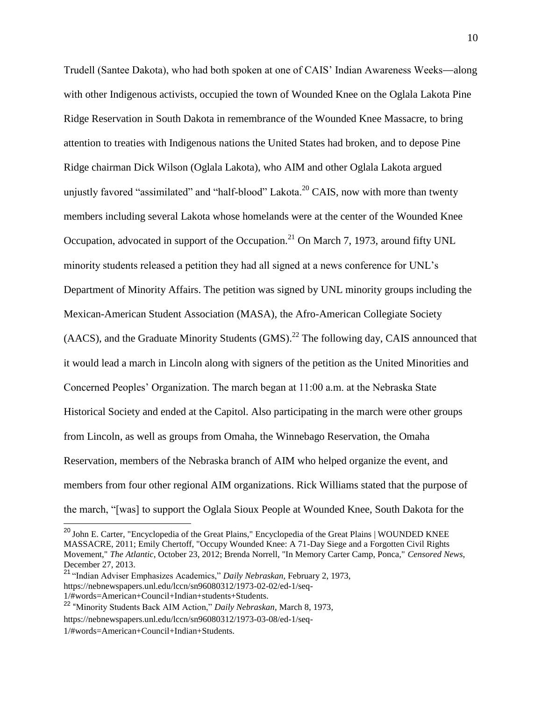Trudell (Santee Dakota), who had both spoken at one of CAIS' Indian Awareness Weeks—along with other Indigenous activists, occupied the town of Wounded Knee on the Oglala Lakota Pine Ridge Reservation in South Dakota in remembrance of the Wounded Knee Massacre, to bring attention to treaties with Indigenous nations the United States had broken, and to depose Pine Ridge chairman Dick Wilson (Oglala Lakota), who AIM and other Oglala Lakota argued unjustly favored "assimilated" and "half-blood" Lakota.<sup>20</sup> CAIS, now with more than twenty members including several Lakota whose homelands were at the center of the Wounded Knee Occupation, advocated in support of the Occupation.<sup>21</sup> On March 7, 1973, around fifty UNL minority students released a petition they had all signed at a news conference for UNL's Department of Minority Affairs. The petition was signed by UNL minority groups including the Mexican-American Student Association (MASA), the Afro-American Collegiate Society  $(AACS)$ , and the Graduate Minority Students  $(GMS)$ <sup>22</sup>. The following day, CAIS announced that it would lead a march in Lincoln along with signers of the petition as the United Minorities and Concerned Peoples' Organization. The march began at 11:00 a.m. at the Nebraska State Historical Society and ended at the Capitol. Also participating in the march were other groups from Lincoln, as well as groups from Omaha, the Winnebago Reservation, the Omaha Reservation, members of the Nebraska branch of AIM who helped organize the event, and members from four other regional AIM organizations. Rick Williams stated that the purpose of the march, "[was] to support the Oglala Sioux People at Wounded Knee, South Dakota for the

<sup>&</sup>lt;sup>20</sup> John E. Carter, "Encyclopedia of the Great Plains," Encyclopedia of the Great Plains | WOUNDED KNEE MASSACRE, 2011; Emily Chertoff, "Occupy Wounded Knee: A 71-Day Siege and a Forgotten Civil Rights Movement," *The Atlantic*, October 23, 2012; Brenda Norrell, "In Memory Carter Camp, Ponca," *Censored News*, December 27, 2013.

<sup>21</sup> "Indian Adviser Emphasizes Academics," *Daily Nebraskan*, February 2, 1973, https://nebnewspapers.unl.edu/lccn/sn96080312/1973-02-02/ed-1/seq-1/#words=American+Council+Indian+students+Students.

<sup>22</sup> "Minority Students Back AIM Action," *Daily Nebraskan*, March 8, 1973,

https://nebnewspapers.unl.edu/lccn/sn96080312/1973-03-08/ed-1/seq-

<sup>1/#</sup>words=American+Council+Indian+Students.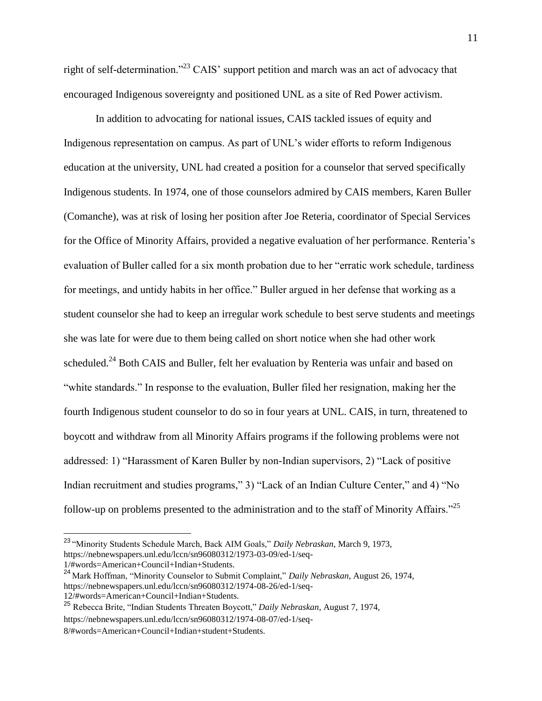right of self-determination."<sup>23</sup> CAIS' support petition and march was an act of advocacy that encouraged Indigenous sovereignty and positioned UNL as a site of Red Power activism.

In addition to advocating for national issues, CAIS tackled issues of equity and Indigenous representation on campus. As part of UNL's wider efforts to reform Indigenous education at the university, UNL had created a position for a counselor that served specifically Indigenous students. In 1974, one of those counselors admired by CAIS members, Karen Buller (Comanche), was at risk of losing her position after Joe Reteria, coordinator of Special Services for the Office of Minority Affairs, provided a negative evaluation of her performance. Renteria's evaluation of Buller called for a six month probation due to her "erratic work schedule, tardiness for meetings, and untidy habits in her office." Buller argued in her defense that working as a student counselor she had to keep an irregular work schedule to best serve students and meetings she was late for were due to them being called on short notice when she had other work scheduled.<sup>24</sup> Both CAIS and Buller, felt her evaluation by Renteria was unfair and based on "white standards." In response to the evaluation, Buller filed her resignation, making her the fourth Indigenous student counselor to do so in four years at UNL. CAIS, in turn, threatened to boycott and withdraw from all Minority Affairs programs if the following problems were not addressed: 1) "Harassment of Karen Buller by non-Indian supervisors, 2) "Lack of positive Indian recruitment and studies programs," 3) "Lack of an Indian Culture Center," and 4) "No follow-up on problems presented to the administration and to the staff of Minority Affairs."<sup>25</sup>

1/#words=American+Council+Indian+Students.

<sup>23</sup> "Minority Students Schedule March, Back AIM Goals," *Daily Nebraskan*, March 9, 1973, https://nebnewspapers.unl.edu/lccn/sn96080312/1973-03-09/ed-1/seq-

<sup>24</sup> Mark Hoffman, "Minority Counselor to Submit Complaint," *Daily Nebraskan*, August 26, 1974, https://nebnewspapers.unl.edu/lccn/sn96080312/1974-08-26/ed-1/seq-12/#words=American+Council+Indian+Students.

<sup>25</sup> Rebecca Brite, "Indian Students Threaten Boycott," *Daily Nebraskan*, August 7, 1974, https://nebnewspapers.unl.edu/lccn/sn96080312/1974-08-07/ed-1/seq-

<sup>8/#</sup>words=American+Council+Indian+student+Students.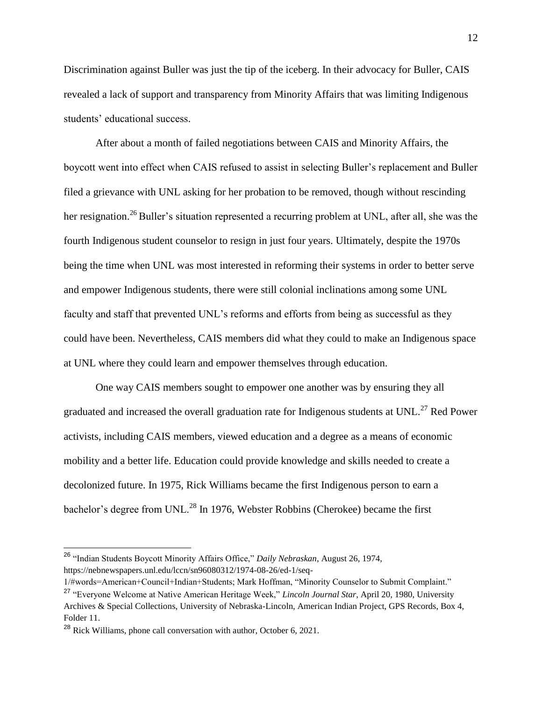Discrimination against Buller was just the tip of the iceberg. In their advocacy for Buller, CAIS revealed a lack of support and transparency from Minority Affairs that was limiting Indigenous students' educational success.

After about a month of failed negotiations between CAIS and Minority Affairs, the boycott went into effect when CAIS refused to assist in selecting Buller's replacement and Buller filed a grievance with UNL asking for her probation to be removed, though without rescinding her resignation.<sup>26</sup> Buller's situation represented a recurring problem at UNL, after all, she was the fourth Indigenous student counselor to resign in just four years. Ultimately, despite the 1970s being the time when UNL was most interested in reforming their systems in order to better serve and empower Indigenous students, there were still colonial inclinations among some UNL faculty and staff that prevented UNL's reforms and efforts from being as successful as they could have been. Nevertheless, CAIS members did what they could to make an Indigenous space at UNL where they could learn and empower themselves through education.

One way CAIS members sought to empower one another was by ensuring they all graduated and increased the overall graduation rate for Indigenous students at UNL.<sup>27</sup> Red Power activists, including CAIS members, viewed education and a degree as a means of economic mobility and a better life. Education could provide knowledge and skills needed to create a decolonized future. In 1975, Rick Williams became the first Indigenous person to earn a bachelor's degree from UNL.<sup>28</sup> In 1976, Webster Robbins (Cherokee) became the first

<sup>26</sup> "Indian Students Boycott Minority Affairs Office," *Daily Nebraskan*, August 26, 1974, https://nebnewspapers.unl.edu/lccn/sn96080312/1974-08-26/ed-1/seq-

<sup>1/#</sup>words=American+Council+Indian+Students; Mark Hoffman, "Minority Counselor to Submit Complaint." <sup>27</sup> "Everyone Welcome at Native American Heritage Week," *Lincoln Journal Star*, April 20, 1980, University Archives & Special Collections, University of Nebraska-Lincoln, American Indian Project, GPS Records, Box 4, Folder 11.

<sup>&</sup>lt;sup>28</sup> Rick Williams, phone call conversation with author, October 6, 2021.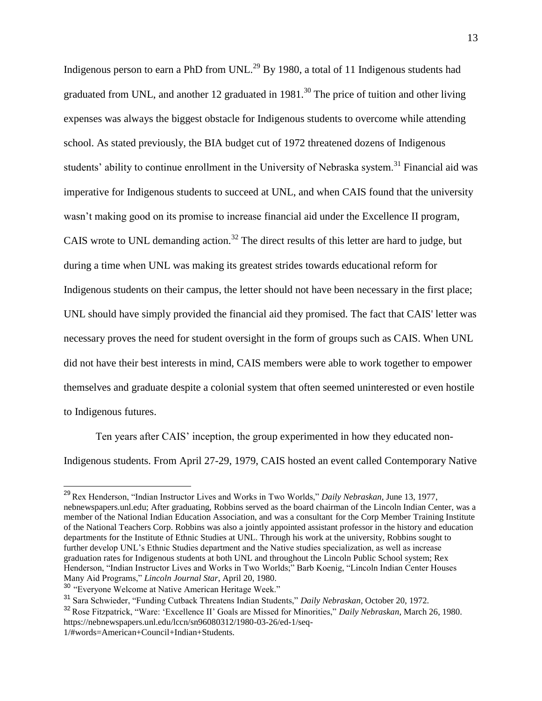Indigenous person to earn a PhD from UNL.<sup>29</sup> By 1980, a total of 11 Indigenous students had graduated from UNL, and another 12 graduated in  $1981$ .<sup>30</sup> The price of tuition and other living expenses was always the biggest obstacle for Indigenous students to overcome while attending school. As stated previously, the BIA budget cut of 1972 threatened dozens of Indigenous students' ability to continue enrollment in the University of Nebraska system.<sup>31</sup> Financial aid was imperative for Indigenous students to succeed at UNL, and when CAIS found that the university wasn't making good on its promise to increase financial aid under the Excellence II program, CAIS wrote to UNL demanding action.<sup>32</sup> The direct results of this letter are hard to judge, but during a time when UNL was making its greatest strides towards educational reform for Indigenous students on their campus, the letter should not have been necessary in the first place; UNL should have simply provided the financial aid they promised. The fact that CAIS' letter was necessary proves the need for student oversight in the form of groups such as CAIS. When UNL did not have their best interests in mind, CAIS members were able to work together to empower themselves and graduate despite a colonial system that often seemed uninterested or even hostile to Indigenous futures.

Ten years after CAIS' inception, the group experimented in how they educated non-Indigenous students. From April 27-29, 1979, CAIS hosted an event called Contemporary Native

<sup>29</sup> Rex Henderson, "Indian Instructor Lives and Works in Two Worlds," *Daily Nebraskan*, June 13, 1977, nebnewspapers.unl.edu; After graduating, Robbins served as the board chairman of the Lincoln Indian Center, was a member of the National Indian Education Association, and was a consultant for the Corp Member Training Institute of the National Teachers Corp. Robbins was also a jointly appointed assistant professor in the history and education departments for the Institute of Ethnic Studies at UNL. Through his work at the university, Robbins sought to further develop UNL's Ethnic Studies department and the Native studies specialization, as well as increase graduation rates for Indigenous students at both UNL and throughout the Lincoln Public School system; Rex Henderson, "Indian Instructor Lives and Works in Two Worlds;" Barb Koenig, "Lincoln Indian Center Houses Many Aid Programs," *Lincoln Journal Star*, April 20, 1980.

<sup>30</sup> "Everyone Welcome at Native American Heritage Week."

<sup>31</sup> Sara Schwieder, "Funding Cutback Threatens Indian Students," *Daily Nebraskan*, October 20, 1972.

<sup>32</sup> Rose Fitzpatrick, "Ware: 'Excellence II' Goals are Missed for Minorities," *Daily Nebraskan*, March 26, 1980. https://nebnewspapers.unl.edu/lccn/sn96080312/1980-03-26/ed-1/seq-

<sup>1/#</sup>words=American+Council+Indian+Students.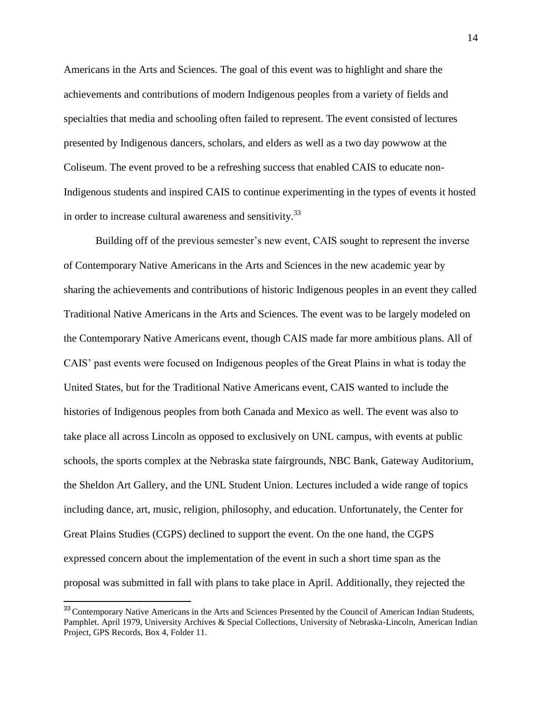Americans in the Arts and Sciences. The goal of this event was to highlight and share the achievements and contributions of modern Indigenous peoples from a variety of fields and specialties that media and schooling often failed to represent. The event consisted of lectures presented by Indigenous dancers, scholars, and elders as well as a two day powwow at the Coliseum. The event proved to be a refreshing success that enabled CAIS to educate non-Indigenous students and inspired CAIS to continue experimenting in the types of events it hosted in order to increase cultural awareness and sensitivity.<sup>33</sup>

Building off of the previous semester's new event, CAIS sought to represent the inverse of Contemporary Native Americans in the Arts and Sciences in the new academic year by sharing the achievements and contributions of historic Indigenous peoples in an event they called Traditional Native Americans in the Arts and Sciences. The event was to be largely modeled on the Contemporary Native Americans event, though CAIS made far more ambitious plans. All of CAIS' past events were focused on Indigenous peoples of the Great Plains in what is today the United States, but for the Traditional Native Americans event, CAIS wanted to include the histories of Indigenous peoples from both Canada and Mexico as well. The event was also to take place all across Lincoln as opposed to exclusively on UNL campus, with events at public schools, the sports complex at the Nebraska state fairgrounds, NBC Bank, Gateway Auditorium, the Sheldon Art Gallery, and the UNL Student Union. Lectures included a wide range of topics including dance, art, music, religion, philosophy, and education. Unfortunately, the Center for Great Plains Studies (CGPS) declined to support the event. On the one hand, the CGPS expressed concern about the implementation of the event in such a short time span as the proposal was submitted in fall with plans to take place in April. Additionally, they rejected the

<sup>&</sup>lt;sup>33</sup> Contemporary Native Americans in the Arts and Sciences Presented by the Council of American Indian Students, Pamphlet. April 1979, University Archives & Special Collections, University of Nebraska-Lincoln, American Indian Project, GPS Records, Box 4, Folder 11.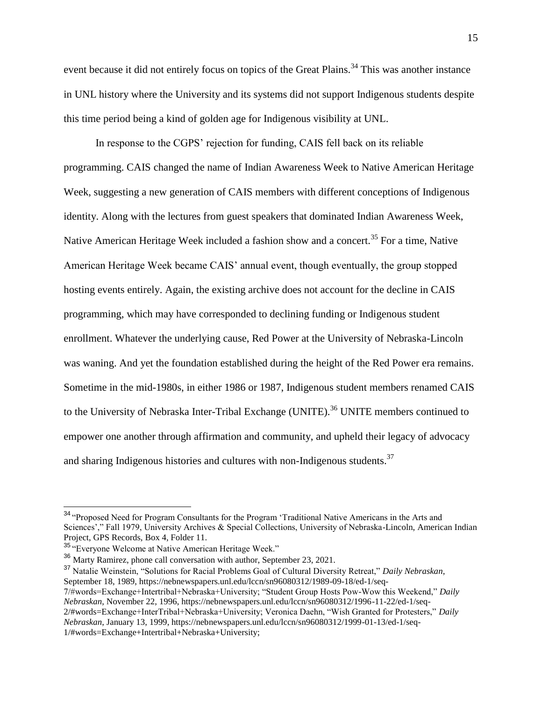event because it did not entirely focus on topics of the Great Plains.<sup>34</sup> This was another instance in UNL history where the University and its systems did not support Indigenous students despite this time period being a kind of golden age for Indigenous visibility at UNL.

In response to the CGPS' rejection for funding, CAIS fell back on its reliable programming. CAIS changed the name of Indian Awareness Week to Native American Heritage Week, suggesting a new generation of CAIS members with different conceptions of Indigenous identity. Along with the lectures from guest speakers that dominated Indian Awareness Week, Native American Heritage Week included a fashion show and a concert.<sup>35</sup> For a time, Native American Heritage Week became CAIS' annual event, though eventually, the group stopped hosting events entirely. Again, the existing archive does not account for the decline in CAIS programming, which may have corresponded to declining funding or Indigenous student enrollment. Whatever the underlying cause, Red Power at the University of Nebraska-Lincoln was waning. And yet the foundation established during the height of the Red Power era remains. Sometime in the mid-1980s, in either 1986 or 1987, Indigenous student members renamed CAIS to the University of Nebraska Inter-Tribal Exchange (UNITE).<sup>36</sup> UNITE members continued to empower one another through affirmation and community, and upheld their legacy of advocacy and sharing Indigenous histories and cultures with non-Indigenous students.<sup>37</sup>

<sup>&</sup>lt;sup>34</sup> "Proposed Need for Program Consultants for the Program 'Traditional Native Americans in the Arts and Sciences'," Fall 1979, University Archives & Special Collections, University of Nebraska-Lincoln, American Indian Project, GPS Records, Box 4, Folder 11.

<sup>&</sup>lt;sup>35</sup> "Everyone Welcome at Native American Heritage Week."

<sup>36</sup> Marty Ramirez, phone call conversation with author, September 23, 2021.

<sup>37</sup> Natalie Weinstein, "Solutions for Racial Problems Goal of Cultural Diversity Retreat," *Daily Nebraskan*, September 18, 1989, https://nebnewspapers.unl.edu/lccn/sn96080312/1989-09-18/ed-1/seq-

<sup>7/#</sup>words=Exchange+Intertribal+Nebraska+University; "Student Group Hosts Pow-Wow this Weekend," *Daily Nebraskan*, November 22, 1996, https://nebnewspapers.unl.edu/lccn/sn96080312/1996-11-22/ed-1/seq-2/#words=Exchange+InterTribal+Nebraska+University; Veronica Daehn, "Wish Granted for Protesters," *Daily Nebraskan*, January 13, 1999, https://nebnewspapers.unl.edu/lccn/sn96080312/1999-01-13/ed-1/seq-1/#words=Exchange+Intertribal+Nebraska+University;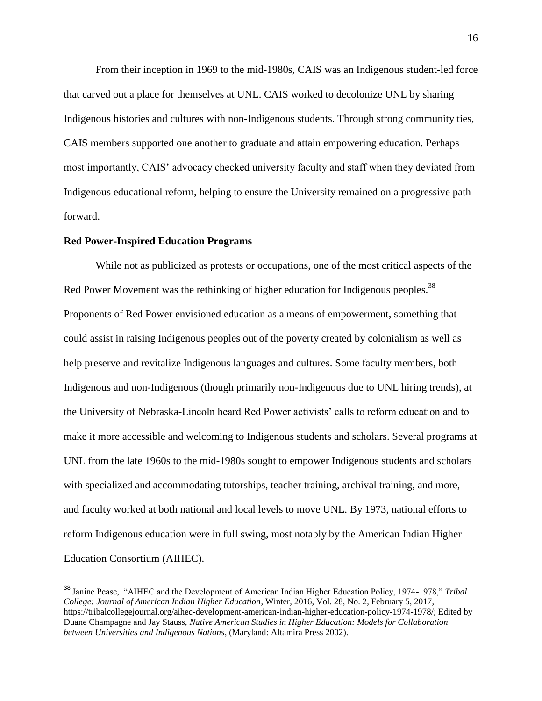From their inception in 1969 to the mid-1980s, CAIS was an Indigenous student-led force that carved out a place for themselves at UNL. CAIS worked to decolonize UNL by sharing Indigenous histories and cultures with non-Indigenous students. Through strong community ties, CAIS members supported one another to graduate and attain empowering education. Perhaps most importantly, CAIS' advocacy checked university faculty and staff when they deviated from Indigenous educational reform, helping to ensure the University remained on a progressive path forward.

#### **Red Power-Inspired Education Programs**

While not as publicized as protests or occupations, one of the most critical aspects of the Red Power Movement was the rethinking of higher education for Indigenous peoples.<sup>38</sup> Proponents of Red Power envisioned education as a means of empowerment, something that could assist in raising Indigenous peoples out of the poverty created by colonialism as well as help preserve and revitalize Indigenous languages and cultures. Some faculty members, both Indigenous and non-Indigenous (though primarily non-Indigenous due to UNL hiring trends), at the University of Nebraska-Lincoln heard Red Power activists' calls to reform education and to make it more accessible and welcoming to Indigenous students and scholars. Several programs at UNL from the late 1960s to the mid-1980s sought to empower Indigenous students and scholars with specialized and accommodating tutorships, teacher training, archival training, and more, and faculty worked at both national and local levels to move UNL. By 1973, national efforts to reform Indigenous education were in full swing, most notably by the American Indian Higher Education Consortium (AIHEC).

<sup>38</sup> Janine Pease, "AIHEC and the Development of American Indian Higher Education Policy, 1974-1978," *Tribal College: Journal of American Indian Higher Education*, Winter, 2016, Vol. 28, No. 2, February 5, 2017, https://tribalcollegejournal.org/aihec-development-american-indian-higher-education-policy-1974-1978/; Edited by Duane Champagne and Jay Stauss, *Native American Studies in Higher Education: Models for Collaboration between Universities and Indigenous Nations*, (Maryland: Altamira Press 2002).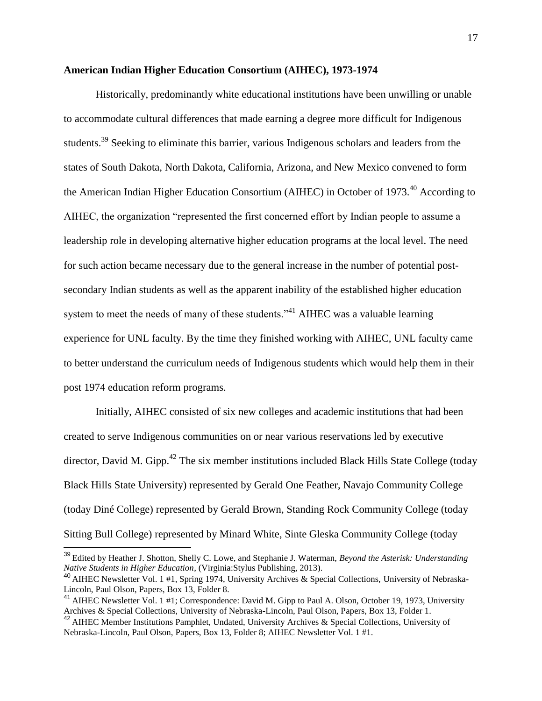#### **American Indian Higher Education Consortium (AIHEC), 1973-1974**

Historically, predominantly white educational institutions have been unwilling or unable to accommodate cultural differences that made earning a degree more difficult for Indigenous students.<sup>39</sup> Seeking to eliminate this barrier, various Indigenous scholars and leaders from the states of South Dakota, North Dakota, California, Arizona, and New Mexico convened to form the American Indian Higher Education Consortium (AIHEC) in October of 1973.<sup>40</sup> According to AIHEC, the organization "represented the first concerned effort by Indian people to assume a leadership role in developing alternative higher education programs at the local level. The need for such action became necessary due to the general increase in the number of potential postsecondary Indian students as well as the apparent inability of the established higher education system to meet the needs of many of these students."<sup>41</sup> AIHEC was a valuable learning experience for UNL faculty. By the time they finished working with AIHEC, UNL faculty came to better understand the curriculum needs of Indigenous students which would help them in their post 1974 education reform programs.

Initially, AIHEC consisted of six new colleges and academic institutions that had been created to serve Indigenous communities on or near various reservations led by executive director, David M. Gipp.<sup>42</sup> The six member institutions included Black Hills State College (today Black Hills State University) represented by Gerald One Feather, Navajo Community College (today Diné College) represented by Gerald Brown, Standing Rock Community College (today Sitting Bull College) represented by Minard White, Sinte Gleska Community College (today

<sup>39</sup> Edited by Heather J. Shotton, Shelly C. Lowe, and Stephanie J. Waterman, *Beyond the Asterisk: Understanding Native Students in Higher Education*, (Virginia:Stylus Publishing, 2013).

<sup>40</sup> AIHEC Newsletter Vol. 1 #1, Spring 1974, University Archives & Special Collections, University of Nebraska-Lincoln, Paul Olson, Papers, Box 13, Folder 8.

<sup>&</sup>lt;sup>41</sup> AIHEC Newsletter Vol. 1 #1; Correspondence: David M. Gipp to Paul A. Olson, October 19, 1973, University Archives & Special Collections, University of Nebraska-Lincoln, Paul Olson, Papers, Box 13, Folder 1.

<sup>42</sup> AIHEC Member Institutions Pamphlet, Undated, University Archives & Special Collections, University of Nebraska-Lincoln, Paul Olson, Papers, Box 13, Folder 8; AIHEC Newsletter Vol. 1 #1.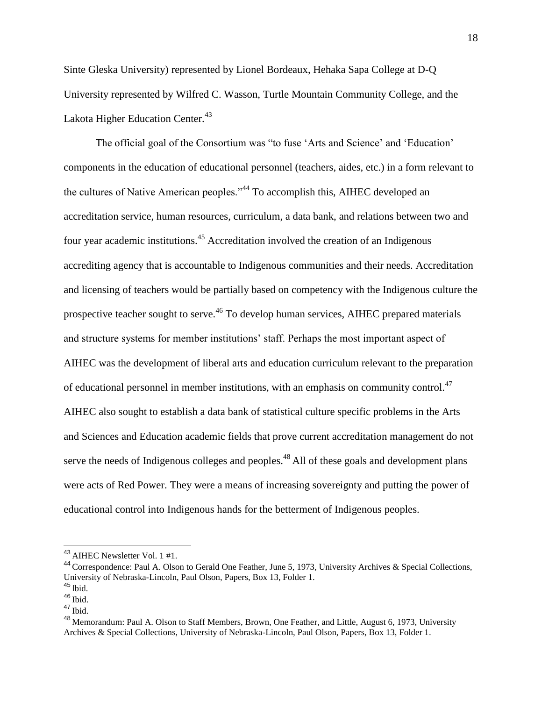Sinte Gleska University) represented by Lionel Bordeaux, Hehaka Sapa College at D-Q University represented by Wilfred C. Wasson, Turtle Mountain Community College, and the Lakota Higher Education Center.<sup>43</sup>

The official goal of the Consortium was "to fuse 'Arts and Science' and 'Education' components in the education of educational personnel (teachers, aides, etc.) in a form relevant to the cultures of Native American peoples."<sup>44</sup> To accomplish this, AIHEC developed an accreditation service, human resources, curriculum, a data bank, and relations between two and four year academic institutions.<sup>45</sup> Accreditation involved the creation of an Indigenous accrediting agency that is accountable to Indigenous communities and their needs. Accreditation and licensing of teachers would be partially based on competency with the Indigenous culture the prospective teacher sought to serve.<sup>46</sup> To develop human services, AIHEC prepared materials and structure systems for member institutions' staff. Perhaps the most important aspect of AIHEC was the development of liberal arts and education curriculum relevant to the preparation of educational personnel in member institutions, with an emphasis on community control.<sup>47</sup> AIHEC also sought to establish a data bank of statistical culture specific problems in the Arts and Sciences and Education academic fields that prove current accreditation management do not serve the needs of Indigenous colleges and peoples.<sup>48</sup> All of these goals and development plans were acts of Red Power. They were a means of increasing sovereignty and putting the power of educational control into Indigenous hands for the betterment of Indigenous peoples.

<sup>43</sup> AIHEC Newsletter Vol. 1 #1.

<sup>44</sup> Correspondence: Paul A. Olson to Gerald One Feather, June 5, 1973, University Archives & Special Collections, University of Nebraska-Lincoln, Paul Olson, Papers, Box 13, Folder 1.

 $45$  lbid.

 $46$  Ibid.

 $^{47}$  Ibid.

<sup>&</sup>lt;sup>48</sup> Memorandum: Paul A. Olson to Staff Members, Brown, One Feather, and Little, August 6, 1973, University Archives & Special Collections, University of Nebraska-Lincoln, Paul Olson, Papers, Box 13, Folder 1.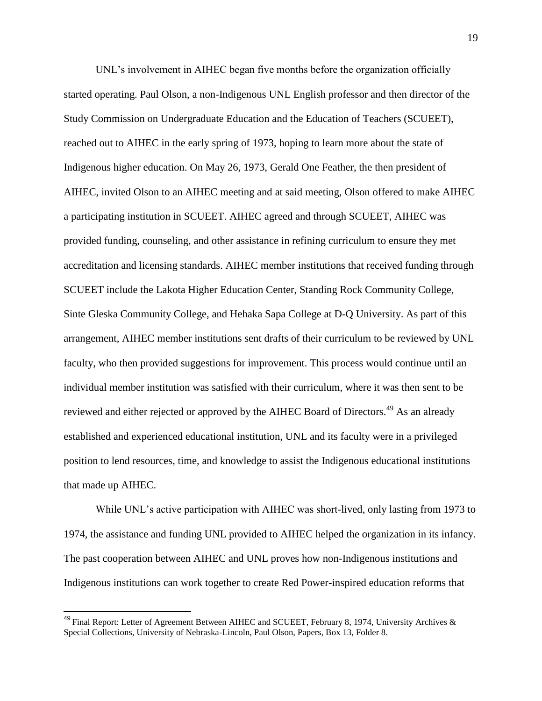UNL's involvement in AIHEC began five months before the organization officially started operating. Paul Olson, a non-Indigenous UNL English professor and then director of the Study Commission on Undergraduate Education and the Education of Teachers (SCUEET), reached out to AIHEC in the early spring of 1973, hoping to learn more about the state of Indigenous higher education. On May 26, 1973, Gerald One Feather, the then president of AIHEC, invited Olson to an AIHEC meeting and at said meeting, Olson offered to make AIHEC a participating institution in SCUEET. AIHEC agreed and through SCUEET, AIHEC was provided funding, counseling, and other assistance in refining curriculum to ensure they met accreditation and licensing standards. AIHEC member institutions that received funding through SCUEET include the Lakota Higher Education Center, Standing Rock Community College, Sinte Gleska Community College, and Hehaka Sapa College at D-Q University. As part of this arrangement, AIHEC member institutions sent drafts of their curriculum to be reviewed by UNL faculty, who then provided suggestions for improvement. This process would continue until an individual member institution was satisfied with their curriculum, where it was then sent to be reviewed and either rejected or approved by the AIHEC Board of Directors.<sup>49</sup> As an already established and experienced educational institution, UNL and its faculty were in a privileged position to lend resources, time, and knowledge to assist the Indigenous educational institutions that made up AIHEC.

While UNL's active participation with AIHEC was short-lived, only lasting from 1973 to 1974, the assistance and funding UNL provided to AIHEC helped the organization in its infancy. The past cooperation between AIHEC and UNL proves how non-Indigenous institutions and Indigenous institutions can work together to create Red Power-inspired education reforms that

 $49$  Final Report: Letter of Agreement Between AIHEC and SCUEET, February 8, 1974, University Archives & Special Collections, University of Nebraska-Lincoln, Paul Olson, Papers, Box 13, Folder 8.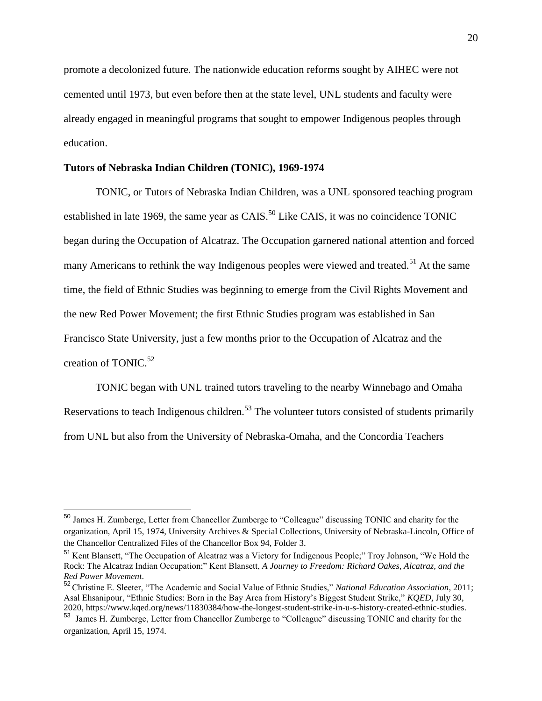promote a decolonized future. The nationwide education reforms sought by AIHEC were not cemented until 1973, but even before then at the state level, UNL students and faculty were already engaged in meaningful programs that sought to empower Indigenous peoples through education.

#### **Tutors of Nebraska Indian Children (TONIC), 1969-1974**

TONIC, or Tutors of Nebraska Indian Children, was a UNL sponsored teaching program established in late 1969, the same year as  $C A I S$ <sup>50</sup> Like CAIS, it was no coincidence TONIC began during the Occupation of Alcatraz. The Occupation garnered national attention and forced many Americans to rethink the way Indigenous peoples were viewed and treated.<sup>51</sup> At the same time, the field of Ethnic Studies was beginning to emerge from the Civil Rights Movement and the new Red Power Movement; the first Ethnic Studies program was established in San Francisco State University, just a few months prior to the Occupation of Alcatraz and the creation of TONIC. $52$ 

TONIC began with UNL trained tutors traveling to the nearby Winnebago and Omaha Reservations to teach Indigenous children.<sup>53</sup> The volunteer tutors consisted of students primarily from UNL but also from the University of Nebraska-Omaha, and the Concordia Teachers

<sup>50</sup> James H. Zumberge, Letter from Chancellor Zumberge to "Colleague" discussing TONIC and charity for the organization, April 15, 1974, University Archives & Special Collections, University of Nebraska-Lincoln, Office of the Chancellor Centralized Files of the Chancellor Box 94, Folder 3.

<sup>51</sup> Kent Blansett, "The Occupation of Alcatraz was a Victory for Indigenous People;" Troy Johnson, "We Hold the Rock: The Alcatraz Indian Occupation;" Kent Blansett, *A Journey to Freedom: Richard Oakes, Alcatraz, and the Red Power Movement*.

<sup>52</sup> Christine E. Sleeter, "The Academic and Social Value of Ethnic Studies," *National Education Association*, 2011; Asal Ehsanipour, "Ethnic Studies: Born in the Bay Area from History's Biggest Student Strike," *KQED*, July 30, 2020, https://www.kqed.org/news/11830384/how-the-longest-student-strike-in-u-s-history-created-ethnic-studies.

<sup>53</sup> James H. Zumberge, Letter from Chancellor Zumberge to "Colleague" discussing TONIC and charity for the organization, April 15, 1974.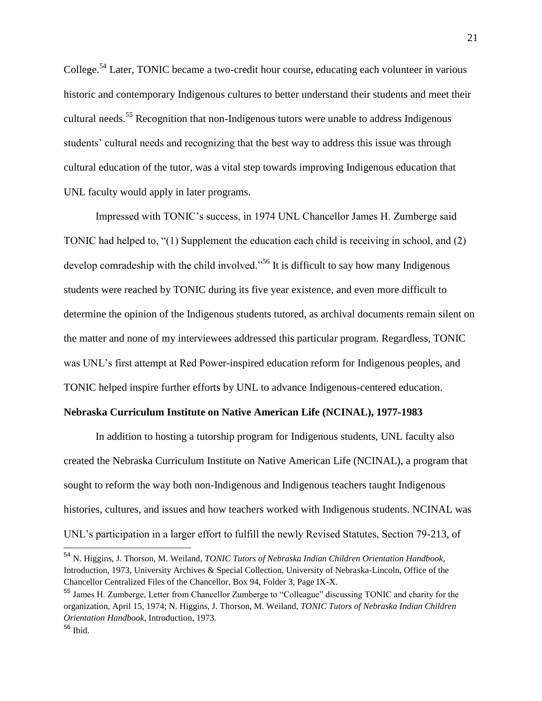College.<sup>54</sup> Later, TONIC became a two-credit hour course, educating each volunteer in various historic and contemporary Indigenous cultures to better understand their students and meet their cultural needs.<sup>55</sup> Recognition that non-Indigenous tutors were unable to address Indigenous students' cultural needs and recognizing that the best way to address this issue was through cultural education of the tutor, was a vital step towards improving Indigenous education that UNL faculty would apply in later programs.

Impressed with TONIC's success, in 1974 UNL Chancellor James H. Zumberge said TONIC had helped to, "(1) Supplement the education each child is receiving in school, and (2) develop comradeship with the child involved."<sup>56</sup> It is difficult to say how many Indigenous students were reached by TONIC during its five year existence, and even more difficult to determine the opinion of the Indigenous students tutored, as archival documents remain silent on the matter and none of my interviewees addressed this particular program. Regardless, TONIC was UNL's first attempt at Red Power-inspired education reform for Indigenous peoples, and TONIC helped inspire further efforts by UNL to advance Indigenous-centered education.

#### **Nebraska Curriculum Institute on Native American Life (NCINAL), 1977-1983**

In addition to hosting a tutorship program for Indigenous students, UNL faculty also created the Nebraska Curriculum Institute on Native American Life (NCINAL), a program that sought to reform the way both non-Indigenous and Indigenous teachers taught Indigenous histories, cultures, and issues and how teachers worked with Indigenous students. NCINAL was UNL's participation in a larger effort to fulfill the newly Revised Statutes, Section 79-213, of

<sup>54</sup> N. Higgins, J. Thorson, M. Weiland, *TONIC Tutors of Nebraska Indian Children Orientation Handbook*, Introduction, 1973, University Archives & Special Collection, University of Nebraska-Lincoln, Office of the Chancellor Centralized Files of the Chancellor, Box 94, Folder 3, Page IX-X.

<sup>55</sup> James H. Zumberge, Letter from Chancellor Zumberge to "Colleague" discussing TONIC and charity for the organization, April 15, 1974; N. Higgins, J. Thorson, M. Weiland, *TONIC Tutors of Nebraska Indian Children Orientation Handbook*, Introduction, 1973.

 $56$  Ibid.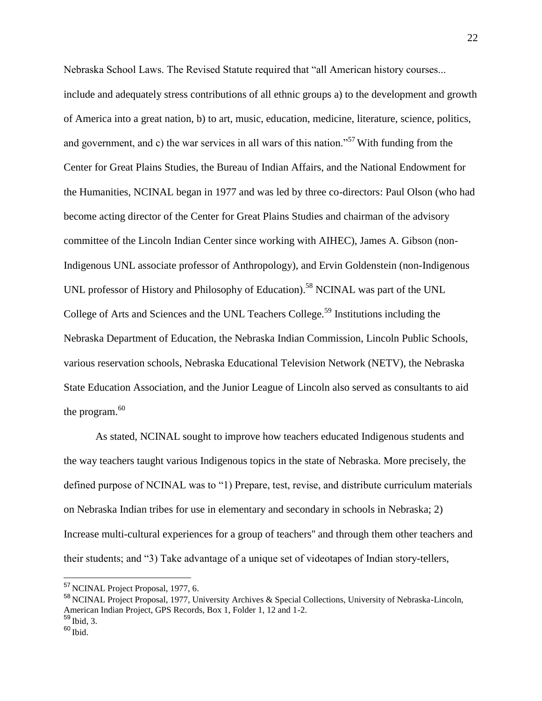Nebraska School Laws. The Revised Statute required that "all American history courses... include and adequately stress contributions of all ethnic groups a) to the development and growth of America into a great nation, b) to art, music, education, medicine, literature, science, politics, and government, and c) the war services in all wars of this nation."<sup>57</sup> With funding from the Center for Great Plains Studies, the Bureau of Indian Affairs, and the National Endowment for the Humanities, NCINAL began in 1977 and was led by three co-directors: Paul Olson (who had become acting director of the Center for Great Plains Studies and chairman of the advisory committee of the Lincoln Indian Center since working with AIHEC), James A. Gibson (non-Indigenous UNL associate professor of Anthropology), and Ervin Goldenstein (non-Indigenous UNL professor of History and Philosophy of Education).<sup>58</sup> NCINAL was part of the UNL College of Arts and Sciences and the UNL Teachers College.<sup>59</sup> Institutions including the Nebraska Department of Education, the Nebraska Indian Commission, Lincoln Public Schools, various reservation schools, Nebraska Educational Television Network (NETV), the Nebraska State Education Association, and the Junior League of Lincoln also served as consultants to aid the program.<sup>60</sup>

As stated, NCINAL sought to improve how teachers educated Indigenous students and the way teachers taught various Indigenous topics in the state of Nebraska. More precisely, the defined purpose of NCINAL was to "1) Prepare, test, revise, and distribute curriculum materials on Nebraska Indian tribes for use in elementary and secondary in schools in Nebraska; 2) Increase multi-cultural experiences for a group of teachers'' and through them other teachers and their students; and "3) Take advantage of a unique set of videotapes of Indian story-tellers,

<sup>57</sup> NCINAL Project Proposal, 1977, 6.

<sup>58</sup> NCINAL Project Proposal, 1977, University Archives & Special Collections, University of Nebraska-Lincoln, American Indian Project, GPS Records, Box 1, Folder 1, 12 and 1-2.  $59$  Ibid, 3.

 $60$  Ibid.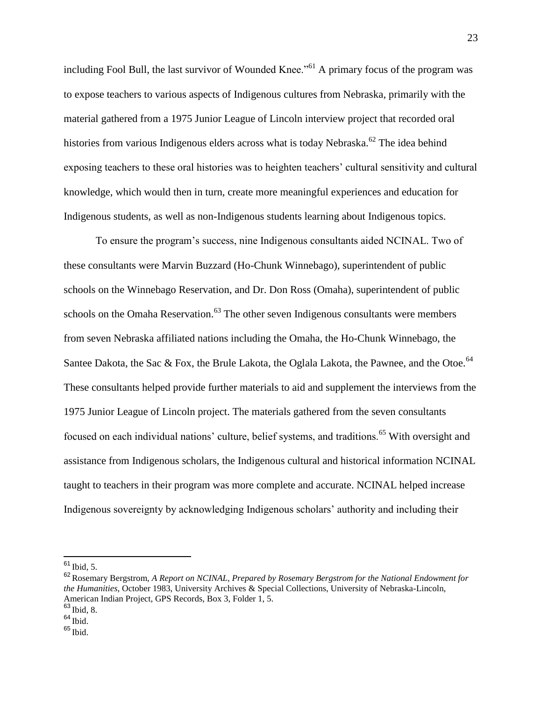including Fool Bull, the last survivor of Wounded Knee.<sup>"61</sup> A primary focus of the program was to expose teachers to various aspects of Indigenous cultures from Nebraska, primarily with the material gathered from a 1975 Junior League of Lincoln interview project that recorded oral histories from various Indigenous elders across what is today Nebraska.<sup>62</sup> The idea behind exposing teachers to these oral histories was to heighten teachers' cultural sensitivity and cultural knowledge, which would then in turn, create more meaningful experiences and education for Indigenous students, as well as non-Indigenous students learning about Indigenous topics.

To ensure the program's success, nine Indigenous consultants aided NCINAL. Two of these consultants were Marvin Buzzard (Ho-Chunk Winnebago), superintendent of public schools on the Winnebago Reservation, and Dr. Don Ross (Omaha), superintendent of public schools on the Omaha Reservation.<sup>63</sup> The other seven Indigenous consultants were members from seven Nebraska affiliated nations including the Omaha, the Ho-Chunk Winnebago, the Santee Dakota, the Sac & Fox, the Brule Lakota, the Oglala Lakota, the Pawnee, and the Otoe.<sup>64</sup> These consultants helped provide further materials to aid and supplement the interviews from the 1975 Junior League of Lincoln project. The materials gathered from the seven consultants focused on each individual nations' culture, belief systems, and traditions.<sup>65</sup> With oversight and assistance from Indigenous scholars, the Indigenous cultural and historical information NCINAL taught to teachers in their program was more complete and accurate. NCINAL helped increase Indigenous sovereignty by acknowledging Indigenous scholars' authority and including their

<sup>&</sup>lt;sup>61</sup> Ibid, 5.

<sup>62</sup>Rosemary Bergstrom, *A Report on NCINAL, Prepared by Rosemary Bergstrom for the National Endowment for the Humanities*, October 1983, University Archives & Special Collections, University of Nebraska-Lincoln, American Indian Project, GPS Records, Box 3, Folder 1, 5.

<sup>63</sup> Ibid, 8.

 $64$  Ibid.

<sup>65</sup> Ibid.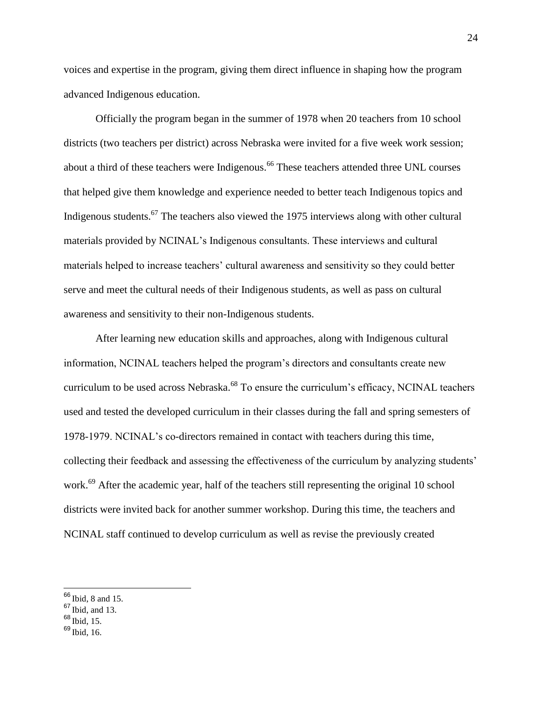voices and expertise in the program, giving them direct influence in shaping how the program advanced Indigenous education.

Officially the program began in the summer of 1978 when 20 teachers from 10 school districts (two teachers per district) across Nebraska were invited for a five week work session; about a third of these teachers were Indigenous.<sup>66</sup> These teachers attended three UNL courses that helped give them knowledge and experience needed to better teach Indigenous topics and Indigenous students.<sup>67</sup> The teachers also viewed the 1975 interviews along with other cultural materials provided by NCINAL's Indigenous consultants. These interviews and cultural materials helped to increase teachers' cultural awareness and sensitivity so they could better serve and meet the cultural needs of their Indigenous students, as well as pass on cultural awareness and sensitivity to their non-Indigenous students.

After learning new education skills and approaches, along with Indigenous cultural information, NCINAL teachers helped the program's directors and consultants create new curriculum to be used across Nebraska.<sup>68</sup> To ensure the curriculum's efficacy, NCINAL teachers used and tested the developed curriculum in their classes during the fall and spring semesters of 1978-1979. NCINAL's co-directors remained in contact with teachers during this time, collecting their feedback and assessing the effectiveness of the curriculum by analyzing students' work.<sup>69</sup> After the academic year, half of the teachers still representing the original 10 school districts were invited back for another summer workshop. During this time, the teachers and NCINAL staff continued to develop curriculum as well as revise the previously created

- $67$  Ibid, and 13.
- <sup>68</sup> Ibid, 15.

 $\overline{a}$ 

<sup>69</sup> Ibid, 16.

 $66$  Ibid, 8 and 15.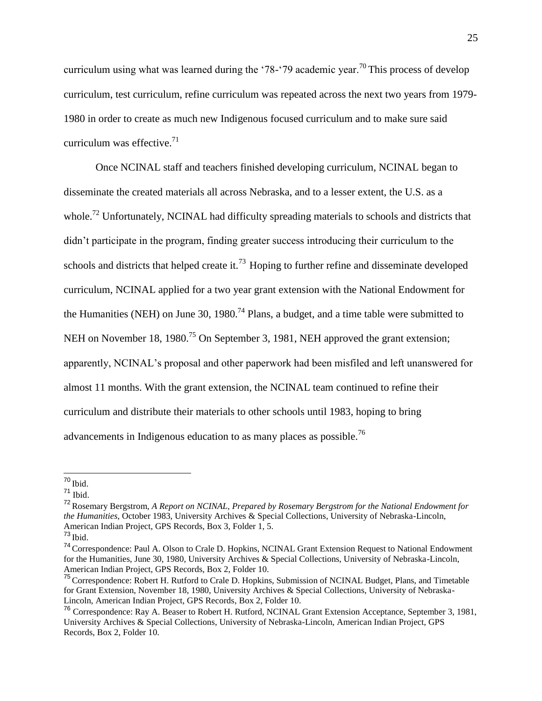curriculum using what was learned during the '78-'79 academic year.<sup>70</sup> This process of develop curriculum, test curriculum, refine curriculum was repeated across the next two years from 1979- 1980 in order to create as much new Indigenous focused curriculum and to make sure said curriculum was effective. $71$ 

Once NCINAL staff and teachers finished developing curriculum, NCINAL began to disseminate the created materials all across Nebraska, and to a lesser extent, the U.S. as a whole.<sup>72</sup> Unfortunately, NCINAL had difficulty spreading materials to schools and districts that didn't participate in the program, finding greater success introducing their curriculum to the schools and districts that helped create it.<sup>73</sup> Hoping to further refine and disseminate developed curriculum, NCINAL applied for a two year grant extension with the National Endowment for the Humanities (NEH) on June 30, 1980.<sup>74</sup> Plans, a budget, and a time table were submitted to NEH on November 18, 1980.<sup>75</sup> On September 3, 1981, NEH approved the grant extension; apparently, NCINAL's proposal and other paperwork had been misfiled and left unanswered for almost 11 months. With the grant extension, the NCINAL team continued to refine their curriculum and distribute their materials to other schools until 1983, hoping to bring advancements in Indigenous education to as many places as possible.<sup>76</sup>

 <sup>70</sup> Ibid.

<sup>71</sup> Ibid.

<sup>72</sup>Rosemary Bergstrom, *A Report on NCINAL, Prepared by Rosemary Bergstrom for the National Endowment for the Humanities*, October 1983, University Archives & Special Collections, University of Nebraska-Lincoln, American Indian Project, GPS Records, Box 3, Folder 1, 5.

 $73$  Ibid.

<sup>74</sup>Correspondence: Paul A. Olson to Crale D. Hopkins, NCINAL Grant Extension Request to National Endowment for the Humanities, June 30, 1980, University Archives & Special Collections, University of Nebraska-Lincoln, American Indian Project, GPS Records, Box 2, Folder 10.

<sup>&</sup>lt;sup>75</sup> Correspondence: Robert H. Rutford to Crale D. Hopkins, Submission of NCINAL Budget, Plans, and Timetable for Grant Extension, November 18, 1980, University Archives & Special Collections, University of Nebraska-Lincoln, American Indian Project, GPS Records, Box 2, Folder 10.

<sup>&</sup>lt;sup>76</sup> Correspondence: Ray A. Beaser to Robert H. Rutford, NCINAL Grant Extension Acceptance, September 3, 1981, University Archives & Special Collections, University of Nebraska-Lincoln, American Indian Project, GPS Records, Box 2, Folder 10.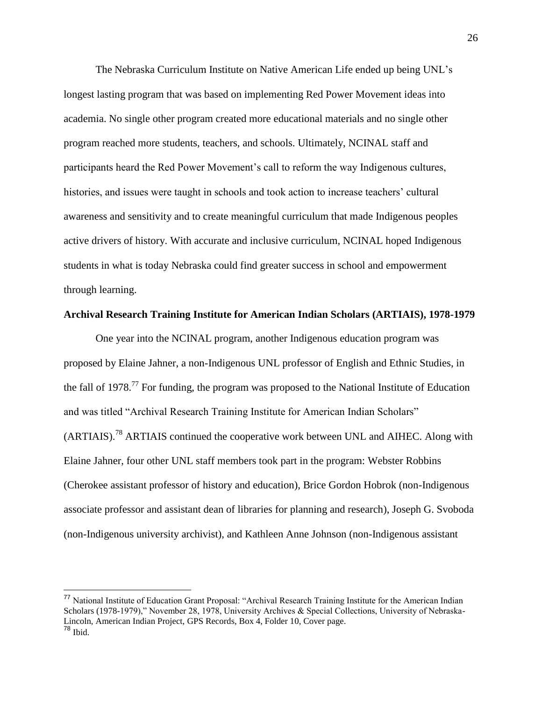The Nebraska Curriculum Institute on Native American Life ended up being UNL's longest lasting program that was based on implementing Red Power Movement ideas into academia. No single other program created more educational materials and no single other program reached more students, teachers, and schools. Ultimately, NCINAL staff and participants heard the Red Power Movement's call to reform the way Indigenous cultures, histories, and issues were taught in schools and took action to increase teachers' cultural awareness and sensitivity and to create meaningful curriculum that made Indigenous peoples active drivers of history. With accurate and inclusive curriculum, NCINAL hoped Indigenous students in what is today Nebraska could find greater success in school and empowerment through learning.

#### **Archival Research Training Institute for American Indian Scholars (ARTIAIS), 1978-1979**

One year into the NCINAL program, another Indigenous education program was proposed by Elaine Jahner, a non-Indigenous UNL professor of English and Ethnic Studies, in the fall of 1978.<sup>77</sup> For funding, the program was proposed to the National Institute of Education and was titled "Archival Research Training Institute for American Indian Scholars"  $(ARTIALS)$ <sup>78</sup> ARTIAIS continued the cooperative work between UNL and AIHEC. Along with Elaine Jahner, four other UNL staff members took part in the program: Webster Robbins (Cherokee assistant professor of history and education), Brice Gordon Hobrok (non-Indigenous associate professor and assistant dean of libraries for planning and research), Joseph G. Svoboda (non-Indigenous university archivist), and Kathleen Anne Johnson (non-Indigenous assistant

<sup>77</sup> National Institute of Education Grant Proposal: "Archival Research Training Institute for the American Indian Scholars (1978-1979)," November 28, 1978, University Archives & Special Collections, University of Nebraska-Lincoln, American Indian Project, GPS Records, Box 4, Folder 10, Cover page.  $78$  Ibid.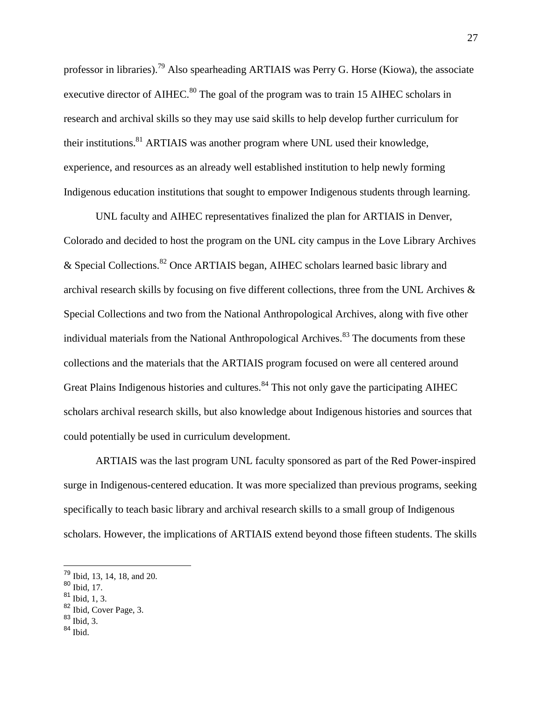professor in libraries).<sup>79</sup> Also spearheading ARTIAIS was Perry G. Horse (Kiowa), the associate executive director of AIHEC.<sup>80</sup> The goal of the program was to train 15 AIHEC scholars in research and archival skills so they may use said skills to help develop further curriculum for their institutions.<sup>81</sup> ARTIAIS was another program where UNL used their knowledge, experience, and resources as an already well established institution to help newly forming Indigenous education institutions that sought to empower Indigenous students through learning.

UNL faculty and AIHEC representatives finalized the plan for ARTIAIS in Denver, Colorado and decided to host the program on the UNL city campus in the Love Library Archives & Special Collections.<sup>82</sup> Once ARTIAIS began, AIHEC scholars learned basic library and archival research skills by focusing on five different collections, three from the UNL Archives  $\&$ Special Collections and two from the National Anthropological Archives, along with five other individual materials from the National Anthropological Archives.<sup>83</sup> The documents from these collections and the materials that the ARTIAIS program focused on were all centered around Great Plains Indigenous histories and cultures.<sup>84</sup> This not only gave the participating AIHEC scholars archival research skills, but also knowledge about Indigenous histories and sources that could potentially be used in curriculum development.

ARTIAIS was the last program UNL faculty sponsored as part of the Red Power-inspired surge in Indigenous-centered education. It was more specialized than previous programs, seeking specifically to teach basic library and archival research skills to a small group of Indigenous scholars. However, the implications of ARTIAIS extend beyond those fifteen students. The skills

<sup>&</sup>lt;sup>79</sup> Ibid, 13, 14, 18, and 20.

 $80$  Ibid, 17.

 $81$  Ibid, 1, 3.

<sup>&</sup>lt;sup>82</sup> Ibid, Cover Page, 3.

 $83$  Ibid, 3.

<sup>84</sup> Ibid.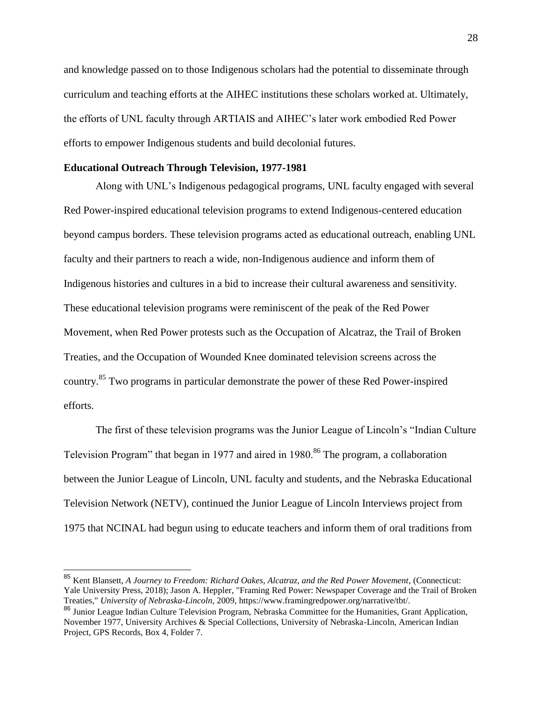and knowledge passed on to those Indigenous scholars had the potential to disseminate through curriculum and teaching efforts at the AIHEC institutions these scholars worked at. Ultimately, the efforts of UNL faculty through ARTIAIS and AIHEC's later work embodied Red Power efforts to empower Indigenous students and build decolonial futures.

#### **Educational Outreach Through Television, 1977-1981**

 $\overline{a}$ 

Along with UNL's Indigenous pedagogical programs, UNL faculty engaged with several Red Power-inspired educational television programs to extend Indigenous-centered education beyond campus borders. These television programs acted as educational outreach, enabling UNL faculty and their partners to reach a wide, non-Indigenous audience and inform them of Indigenous histories and cultures in a bid to increase their cultural awareness and sensitivity. These educational television programs were reminiscent of the peak of the Red Power Movement, when Red Power protests such as the Occupation of Alcatraz, the Trail of Broken Treaties, and the Occupation of Wounded Knee dominated television screens across the country.<sup>85</sup> Two programs in particular demonstrate the power of these Red Power-inspired efforts.

The first of these television programs was the Junior League of Lincoln's "Indian Culture Television Program" that began in 1977 and aired in 1980.<sup>86</sup> The program, a collaboration between the Junior League of Lincoln, UNL faculty and students, and the Nebraska Educational Television Network (NETV), continued the Junior League of Lincoln Interviews project from 1975 that NCINAL had begun using to educate teachers and inform them of oral traditions from

<sup>85</sup> Kent Blansett, *A Journey to Freedom: Richard Oakes, Alcatraz, and the Red Power Movement*, (Connecticut: Yale University Press, 2018); Jason A. Heppler, "Framing Red Power: Newspaper Coverage and the Trail of Broken Treaties," *University of Nebraska-Lincoln*, 2009, https://www.framingredpower.org/narrative/tbt/.

<sup>&</sup>lt;sup>86</sup> Junior League Indian Culture Television Program, Nebraska Committee for the Humanities, Grant Application, November 1977, University Archives & Special Collections, University of Nebraska-Lincoln, American Indian Project, GPS Records, Box 4, Folder 7.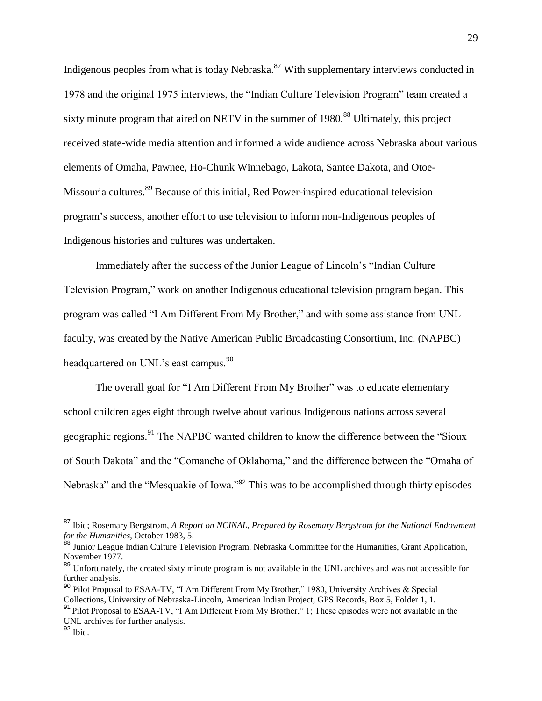Indigenous peoples from what is today Nebraska. $87$  With supplementary interviews conducted in 1978 and the original 1975 interviews, the "Indian Culture Television Program" team created a sixty minute program that aired on NETV in the summer of 1980.<sup>88</sup> Ultimately, this project received state-wide media attention and informed a wide audience across Nebraska about various elements of Omaha, Pawnee, Ho-Chunk Winnebago, Lakota, Santee Dakota, and Otoe-Missouria cultures.<sup>89</sup> Because of this initial, Red Power-inspired educational television program's success, another effort to use television to inform non-Indigenous peoples of Indigenous histories and cultures was undertaken.

Immediately after the success of the Junior League of Lincoln's "Indian Culture Television Program," work on another Indigenous educational television program began. This program was called "I Am Different From My Brother," and with some assistance from UNL faculty, was created by the Native American Public Broadcasting Consortium, Inc. (NAPBC) headquartered on UNL's east campus.<sup>90</sup>

The overall goal for "I Am Different From My Brother" was to educate elementary school children ages eight through twelve about various Indigenous nations across several geographic regions.<sup>91</sup> The NAPBC wanted children to know the difference between the "Sioux" of South Dakota" and the "Comanche of Oklahoma," and the difference between the "Omaha of Nebraska" and the "Mesquakie of Iowa."<sup>92</sup> This was to be accomplished through thirty episodes

<sup>87</sup> Ibid; Rosemary Bergstrom, *A Report on NCINAL, Prepared by Rosemary Bergstrom for the National Endowment for the Humanities*, October 1983, 5.

<sup>&</sup>lt;sup>88</sup> Junior League Indian Culture Television Program, Nebraska Committee for the Humanities, Grant Application, November 1977.

<sup>&</sup>lt;sup>89</sup> Unfortunately, the created sixty minute program is not available in the UNL archives and was not accessible for further analysis.

<sup>90</sup> Pilot Proposal to ESAA-TV, "I Am Different From My Brother," 1980, University Archives & Special Collections, University of Nebraska-Lincoln, American Indian Project, GPS Records, Box 5, Folder 1, 1.

<sup>&</sup>lt;sup>91</sup> Pilot Proposal to ESAA-TV, "I Am Different From My Brother," 1; These episodes were not available in the UNL archives for further analysis.

 $92$  Ibid.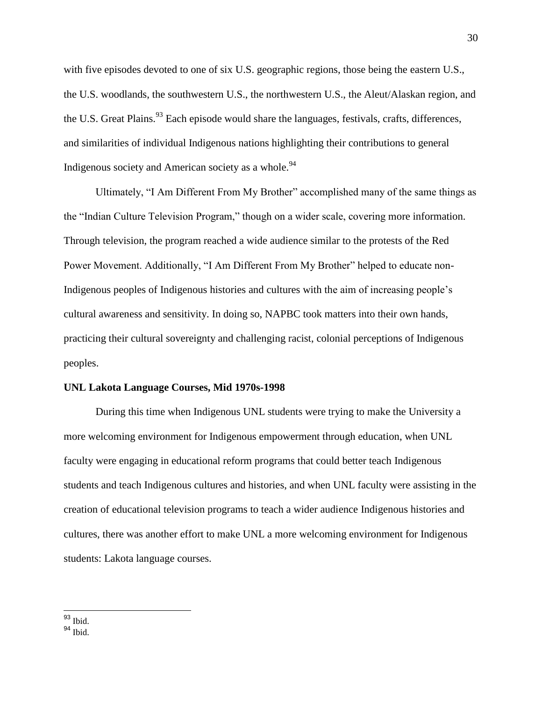with five episodes devoted to one of six U.S. geographic regions, those being the eastern U.S., the U.S. woodlands, the southwestern U.S., the northwestern U.S., the Aleut/Alaskan region, and the U.S. Great Plains.<sup>93</sup> Each episode would share the languages, festivals, crafts, differences, and similarities of individual Indigenous nations highlighting their contributions to general Indigenous society and American society as a whole.<sup>94</sup>

Ultimately, "I Am Different From My Brother" accomplished many of the same things as the "Indian Culture Television Program," though on a wider scale, covering more information. Through television, the program reached a wide audience similar to the protests of the Red Power Movement. Additionally, "I Am Different From My Brother" helped to educate non-Indigenous peoples of Indigenous histories and cultures with the aim of increasing people's cultural awareness and sensitivity. In doing so, NAPBC took matters into their own hands, practicing their cultural sovereignty and challenging racist, colonial perceptions of Indigenous peoples.

#### **UNL Lakota Language Courses, Mid 1970s-1998**

During this time when Indigenous UNL students were trying to make the University a more welcoming environment for Indigenous empowerment through education, when UNL faculty were engaging in educational reform programs that could better teach Indigenous students and teach Indigenous cultures and histories, and when UNL faculty were assisting in the creation of educational television programs to teach a wider audience Indigenous histories and cultures, there was another effort to make UNL a more welcoming environment for Indigenous students: Lakota language courses.

 <sup>93</sup> Ibid.

<sup>94</sup> Ibid.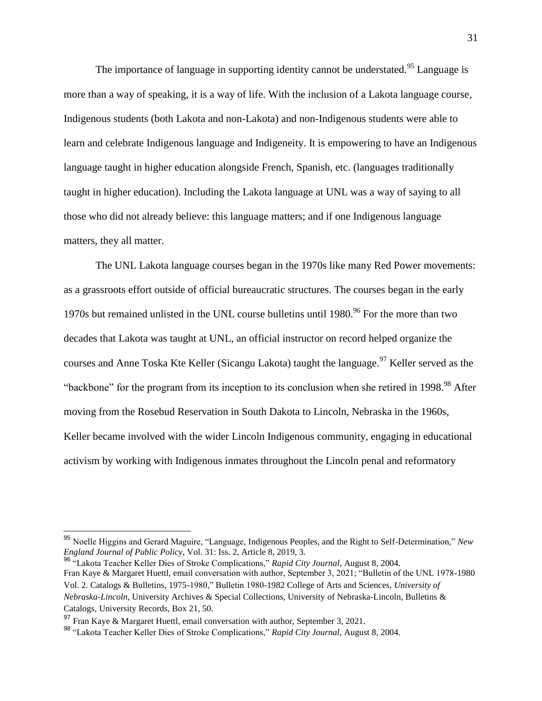The importance of language in supporting identity cannot be understated.<sup>95</sup> Language is more than a way of speaking, it is a way of life. With the inclusion of a Lakota language course, Indigenous students (both Lakota and non-Lakota) and non-Indigenous students were able to learn and celebrate Indigenous language and Indigeneity. It is empowering to have an Indigenous language taught in higher education alongside French, Spanish, etc. (languages traditionally taught in higher education). Including the Lakota language at UNL was a way of saying to all those who did not already believe: this language matters; and if one Indigenous language matters, they all matter.

The UNL Lakota language courses began in the 1970s like many Red Power movements: as a grassroots effort outside of official bureaucratic structures. The courses began in the early 1970s but remained unlisted in the UNL course bulletins until 1980.<sup>96</sup> For the more than two decades that Lakota was taught at UNL, an official instructor on record helped organize the courses and Anne Toska Kte Keller (Sicangu Lakota) taught the language.<sup>97</sup> Keller served as the "backbone" for the program from its inception to its conclusion when she retired in 1998.<sup>98</sup> After moving from the Rosebud Reservation in South Dakota to Lincoln, Nebraska in the 1960s, Keller became involved with the wider Lincoln Indigenous community, engaging in educational activism by working with Indigenous inmates throughout the Lincoln penal and reformatory

<sup>95</sup> Noelle Higgins and Gerard Maguire, "Language, Indigenous Peoples, and the Right to Self-Determination," *New England Journal of Public Policy*, Vol. 31: Iss. 2, Article 8, 2019, 3.

<sup>96</sup> "Lakota Teacher Keller Dies of Stroke Complications," *Rapid City Journal*, August 8, 2004. Fran Kaye & Margaret Huettl, email conversation with author, September 3, 2021; "Bulletin of the UNL 1978-1980 Vol. 2. Catalogs & Bulletins, 1975-1980," Bulletin 1980-1982 College of Arts and Sciences, *University of Nebraska-Lincoln*, University Archives & Special Collections, University of Nebraska-Lincoln, Bulletins & Catalogs, University Records, Box 21, 50.

<sup>97</sup> Fran Kaye & Margaret Huettl, email conversation with author, September 3, 2021.

<sup>98</sup> "Lakota Teacher Keller Dies of Stroke Complications," *Rapid City Journal*, August 8, 2004.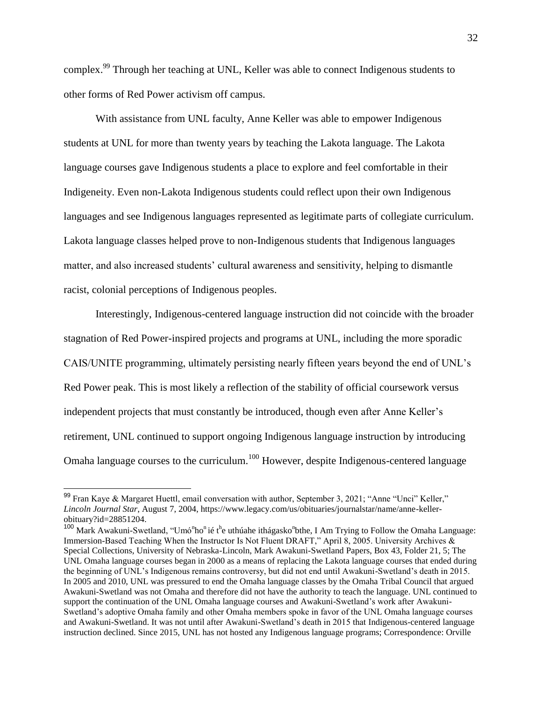complex.<sup>99</sup> Through her teaching at UNL, Keller was able to connect Indigenous students to other forms of Red Power activism off campus.

With assistance from UNL faculty, Anne Keller was able to empower Indigenous students at UNL for more than twenty years by teaching the Lakota language. The Lakota language courses gave Indigenous students a place to explore and feel comfortable in their Indigeneity. Even non-Lakota Indigenous students could reflect upon their own Indigenous languages and see Indigenous languages represented as legitimate parts of collegiate curriculum. Lakota language classes helped prove to non-Indigenous students that Indigenous languages matter, and also increased students' cultural awareness and sensitivity, helping to dismantle racist, colonial perceptions of Indigenous peoples.

Interestingly, Indigenous-centered language instruction did not coincide with the broader stagnation of Red Power-inspired projects and programs at UNL, including the more sporadic CAIS/UNITE programming, ultimately persisting nearly fifteen years beyond the end of UNL's Red Power peak. This is most likely a reflection of the stability of official coursework versus independent projects that must constantly be introduced, though even after Anne Keller's retirement, UNL continued to support ongoing Indigenous language instruction by introducing Omaha language courses to the curriculum.<sup>100</sup> However, despite Indigenous-centered language

 $99$  Fran Kaye & Margaret Huettl, email conversation with author, September 3, 2021; "Anne "Unci" Keller," *Lincoln Journal Star*, August 7, 2004, https://www.legacy.com/us/obituaries/journalstar/name/anne-kellerobituary?id=28851204.

<sup>&</sup>lt;sup>100</sup> Mark Awakuni-Swetland, "Umó<sup>n</sup>ho<sup>n</sup> ié t<sup>h</sup>e uthúahe ithágasko<sup>n</sup>bthe, I Am Trying to Follow the Omaha Language: Immersion-Based Teaching When the Instructor Is Not Fluent DRAFT," April 8, 2005. University Archives & Special Collections, University of Nebraska-Lincoln, Mark Awakuni-Swetland Papers, Box 43, Folder 21, 5; The UNL Omaha language courses began in 2000 as a means of replacing the Lakota language courses that ended during the beginning of UNL's Indigenous remains controversy, but did not end until Awakuni-Swetland's death in 2015. In 2005 and 2010, UNL was pressured to end the Omaha language classes by the Omaha Tribal Council that argued Awakuni-Swetland was not Omaha and therefore did not have the authority to teach the language. UNL continued to support the continuation of the UNL Omaha language courses and Awakuni-Swetland's work after Awakuni-Swetland's adoptive Omaha family and other Omaha members spoke in favor of the UNL Omaha language courses and Awakuni-Swetland. It was not until after Awakuni-Swetland's death in 2015 that Indigenous-centered language instruction declined. Since 2015, UNL has not hosted any Indigenous language programs; Correspondence: Orville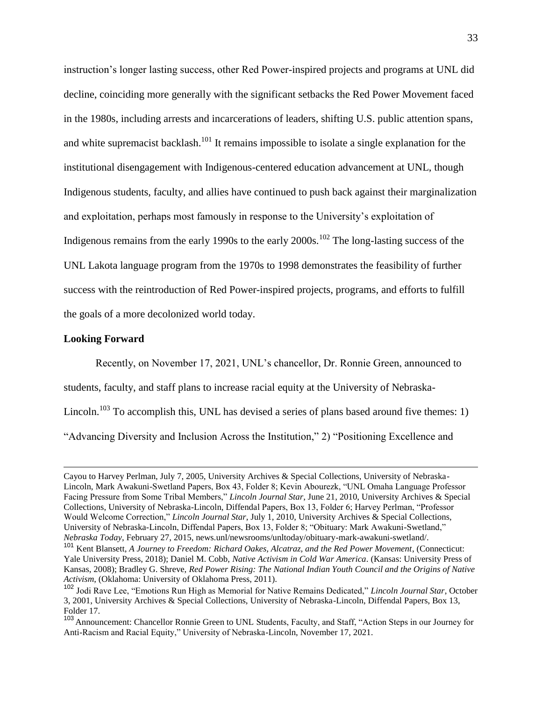instruction's longer lasting success, other Red Power-inspired projects and programs at UNL did decline, coinciding more generally with the significant setbacks the Red Power Movement faced in the 1980s, including arrests and incarcerations of leaders, shifting U.S. public attention spans, and white supremacist backlash.<sup>101</sup> It remains impossible to isolate a single explanation for the institutional disengagement with Indigenous-centered education advancement at UNL, though Indigenous students, faculty, and allies have continued to push back against their marginalization and exploitation, perhaps most famously in response to the University's exploitation of Indigenous remains from the early 1990s to the early  $2000s$ .<sup>102</sup> The long-lasting success of the UNL Lakota language program from the 1970s to 1998 demonstrates the feasibility of further success with the reintroduction of Red Power-inspired projects, programs, and efforts to fulfill the goals of a more decolonized world today.

#### **Looking Forward**

Recently, on November 17, 2021, UNL's chancellor, Dr. Ronnie Green, announced to students, faculty, and staff plans to increase racial equity at the University of Nebraska-Lincoln.<sup>103</sup> To accomplish this, UNL has devised a series of plans based around five themes: 1) "Advancing Diversity and Inclusion Across the Institution," 2) "Positioning Excellence and

Cayou to Harvey Perlman, July 7, 2005, University Archives & Special Collections, University of Nebraska-Lincoln, Mark Awakuni-Swetland Papers, Box 43, Folder 8; Kevin Abourezk, "UNL Omaha Language Professor Facing Pressure from Some Tribal Members," *Lincoln Journal Star*, June 21, 2010, University Archives & Special Collections, University of Nebraska-Lincoln, Diffendal Papers, Box 13, Folder 6; Harvey Perlman, "Professor Would Welcome Correction," *Lincoln Journal Star*, July 1, 2010, University Archives & Special Collections, University of Nebraska-Lincoln, Diffendal Papers, Box 13, Folder 8; "Obituary: Mark Awakuni-Swetland," *Nebraska Today*, February 27, 2015, news.unl/newsrooms/unltoday/obituary-mark-awakuni-swetland/.

<sup>101</sup> Kent Blansett, *A Journey to Freedom: Richard Oakes, Alcatraz, and the Red Power Movement*, (Connecticut: Yale University Press, 2018); Daniel M. Cobb, *Native Activism in Cold War America*. (Kansas: University Press of Kansas, 2008); Bradley G. Shreve, *Red Power Rising: The National Indian Youth Council and the Origins of Native Activism*, (Oklahoma: University of Oklahoma Press, 2011).

<sup>102</sup> Jodi Rave Lee, "Emotions Run High as Memorial for Native Remains Dedicated," *Lincoln Journal Star*, October 3, 2001, University Archives & Special Collections, University of Nebraska-Lincoln, Diffendal Papers, Box 13, Folder 17.

<sup>103</sup> Announcement: Chancellor Ronnie Green to UNL Students, Faculty, and Staff, "Action Steps in our Journey for Anti-Racism and Racial Equity," University of Nebraska-Lincoln, November 17, 2021.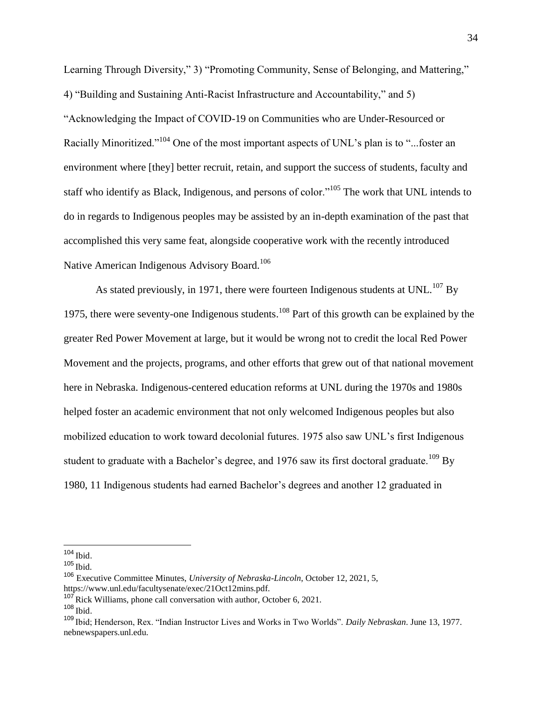Learning Through Diversity," 3) "Promoting Community, Sense of Belonging, and Mattering," 4) "Building and Sustaining Anti-Racist Infrastructure and Accountability," and 5) "Acknowledging the Impact of COVID-19 on Communities who are Under-Resourced or Racially Minoritized."<sup>104</sup> One of the most important aspects of UNL's plan is to "...foster an environment where [they] better recruit, retain, and support the success of students, faculty and staff who identify as Black, Indigenous, and persons of color."<sup>105</sup> The work that UNL intends to do in regards to Indigenous peoples may be assisted by an in-depth examination of the past that accomplished this very same feat, alongside cooperative work with the recently introduced Native American Indigenous Advisory Board.<sup>106</sup>

As stated previously, in 1971, there were fourteen Indigenous students at UNL.<sup>107</sup> By 1975, there were seventy-one Indigenous students.<sup>108</sup> Part of this growth can be explained by the greater Red Power Movement at large, but it would be wrong not to credit the local Red Power Movement and the projects, programs, and other efforts that grew out of that national movement here in Nebraska. Indigenous-centered education reforms at UNL during the 1970s and 1980s helped foster an academic environment that not only welcomed Indigenous peoples but also mobilized education to work toward decolonial futures. 1975 also saw UNL's first Indigenous student to graduate with a Bachelor's degree, and 1976 saw its first doctoral graduate.<sup>109</sup> By 1980, 11 Indigenous students had earned Bachelor's degrees and another 12 graduated in

 $\overline{a}$ 

 $107$  Rick Williams, phone call conversation with author, October 6, 2021.

 $104$  Ibid.

 $105$  Ibid.

<sup>106</sup> Executive Committee Minutes, *University of Nebraska-Lincoln*, October 12, 2021, 5, https://www.unl.edu/facultysenate/exec/21Oct12mins.pdf.

 $108$  Ibid.

<sup>109</sup> Ibid; Henderson, Rex. "Indian Instructor Lives and Works in Two Worlds". *Daily Nebraskan*. June 13, 1977. nebnewspapers.unl.edu.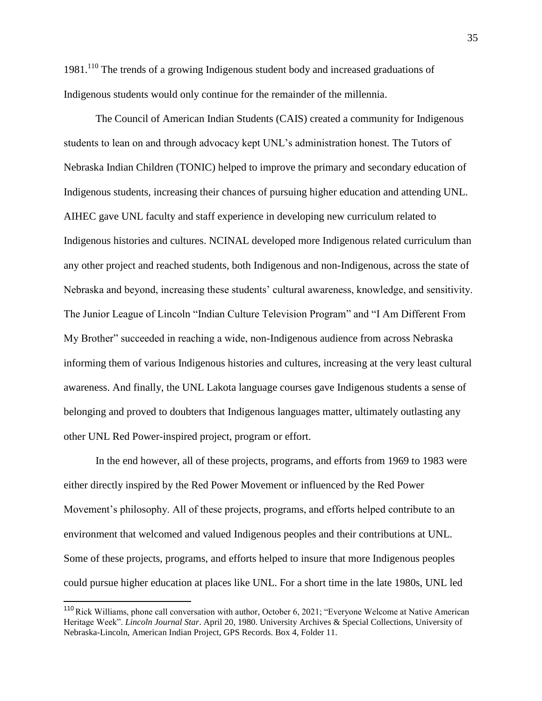$1981<sup>110</sup>$  The trends of a growing Indigenous student body and increased graduations of Indigenous students would only continue for the remainder of the millennia.

The Council of American Indian Students (CAIS) created a community for Indigenous students to lean on and through advocacy kept UNL's administration honest. The Tutors of Nebraska Indian Children (TONIC) helped to improve the primary and secondary education of Indigenous students, increasing their chances of pursuing higher education and attending UNL. AIHEC gave UNL faculty and staff experience in developing new curriculum related to Indigenous histories and cultures. NCINAL developed more Indigenous related curriculum than any other project and reached students, both Indigenous and non-Indigenous, across the state of Nebraska and beyond, increasing these students' cultural awareness, knowledge, and sensitivity. The Junior League of Lincoln "Indian Culture Television Program" and "I Am Different From My Brother" succeeded in reaching a wide, non-Indigenous audience from across Nebraska informing them of various Indigenous histories and cultures, increasing at the very least cultural awareness. And finally, the UNL Lakota language courses gave Indigenous students a sense of belonging and proved to doubters that Indigenous languages matter, ultimately outlasting any other UNL Red Power-inspired project, program or effort.

In the end however, all of these projects, programs, and efforts from 1969 to 1983 were either directly inspired by the Red Power Movement or influenced by the Red Power Movement's philosophy. All of these projects, programs, and efforts helped contribute to an environment that welcomed and valued Indigenous peoples and their contributions at UNL. Some of these projects, programs, and efforts helped to insure that more Indigenous peoples could pursue higher education at places like UNL. For a short time in the late 1980s, UNL led

<sup>&</sup>lt;sup>110</sup> Rick Williams, phone call conversation with author, October 6, 2021; "Everyone Welcome at Native American Heritage Week". *Lincoln Journal Star*. April 20, 1980. University Archives & Special Collections, University of Nebraska-Lincoln, American Indian Project, GPS Records. Box 4, Folder 11.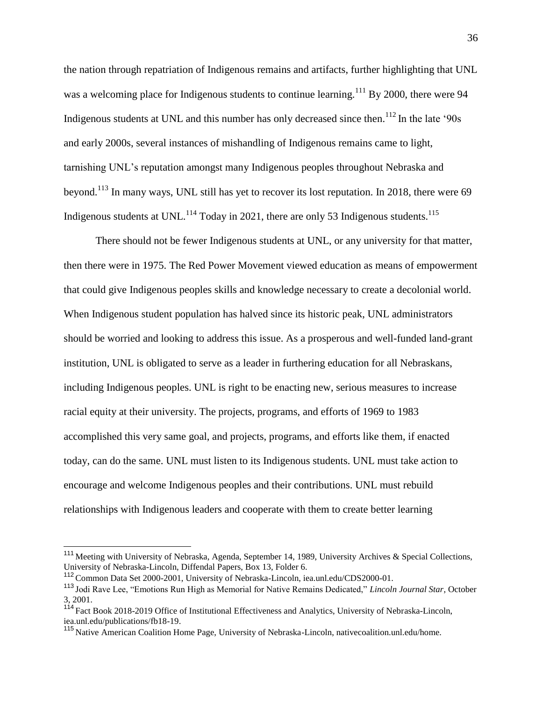the nation through repatriation of Indigenous remains and artifacts, further highlighting that UNL was a welcoming place for Indigenous students to continue learning.<sup>111</sup> By 2000, there were 94 Indigenous students at UNL and this number has only decreased since then.<sup>112</sup> In the late '90s and early 2000s, several instances of mishandling of Indigenous remains came to light, tarnishing UNL's reputation amongst many Indigenous peoples throughout Nebraska and beyond.<sup>113</sup> In many ways, UNL still has yet to recover its lost reputation. In 2018, there were 69 Indigenous students at UNL.<sup>114</sup> Today in 2021, there are only 53 Indigenous students.<sup>115</sup>

There should not be fewer Indigenous students at UNL, or any university for that matter, then there were in 1975. The Red Power Movement viewed education as means of empowerment that could give Indigenous peoples skills and knowledge necessary to create a decolonial world. When Indigenous student population has halved since its historic peak, UNL administrators should be worried and looking to address this issue. As a prosperous and well-funded land-grant institution, UNL is obligated to serve as a leader in furthering education for all Nebraskans, including Indigenous peoples. UNL is right to be enacting new, serious measures to increase racial equity at their university. The projects, programs, and efforts of 1969 to 1983 accomplished this very same goal, and projects, programs, and efforts like them, if enacted today, can do the same. UNL must listen to its Indigenous students. UNL must take action to encourage and welcome Indigenous peoples and their contributions. UNL must rebuild relationships with Indigenous leaders and cooperate with them to create better learning

<sup>&</sup>lt;sup>111</sup> Meeting with University of Nebraska, Agenda, September 14, 1989, University Archives & Special Collections, University of Nebraska-Lincoln, Diffendal Papers, Box 13, Folder 6.

<sup>&</sup>lt;sup>112</sup> Common Data Set 2000-2001, University of Nebraska-Lincoln, iea.unl.edu/CDS2000-01.

<sup>113</sup> Jodi Rave Lee, "Emotions Run High as Memorial for Native Remains Dedicated," *Lincoln Journal Star*, October 3, 2001.

<sup>&</sup>lt;sup>114</sup> Fact Book 2018-2019 Office of Institutional Effectiveness and Analytics, University of Nebraska-Lincoln, iea.unl.edu/publications/fb18-19.

<sup>115</sup> Native American Coalition Home Page, University of Nebraska-Lincoln, nativecoalition.unl.edu/home.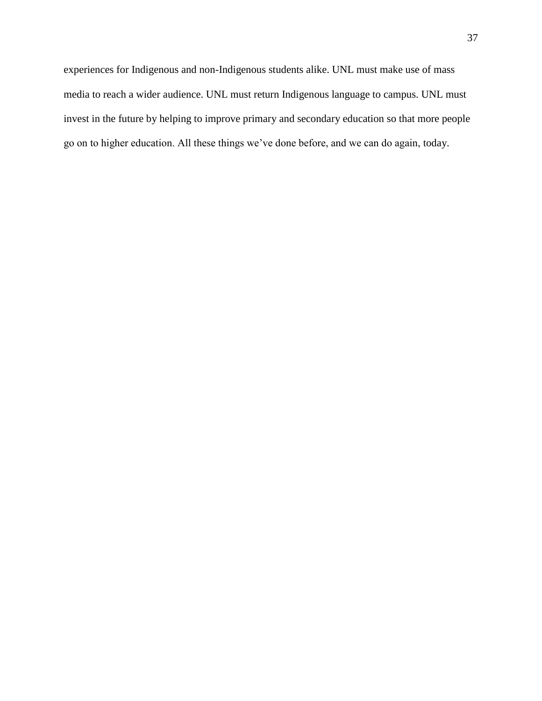experiences for Indigenous and non-Indigenous students alike. UNL must make use of mass media to reach a wider audience. UNL must return Indigenous language to campus. UNL must invest in the future by helping to improve primary and secondary education so that more people go on to higher education. All these things we've done before, and we can do again, today.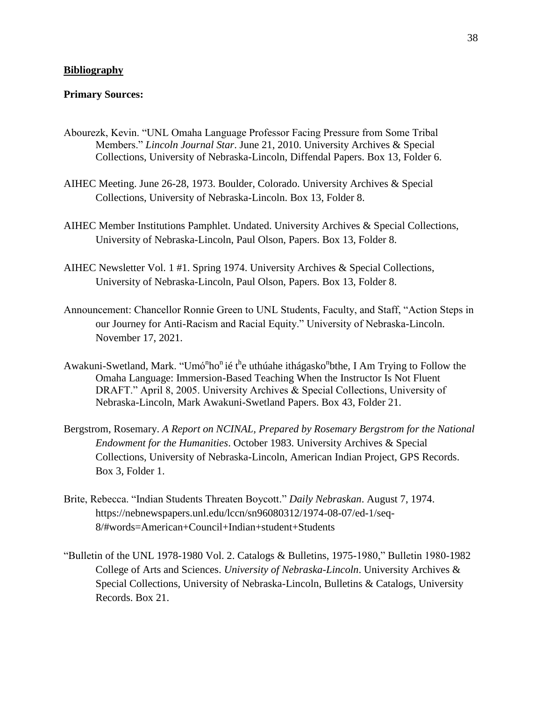#### **Bibliography**

#### **Primary Sources:**

- Abourezk, Kevin. "UNL Omaha Language Professor Facing Pressure from Some Tribal Members." *Lincoln Journal Star*. June 21, 2010. University Archives & Special Collections, University of Nebraska-Lincoln, Diffendal Papers. Box 13, Folder 6.
- AIHEC Meeting. June 26-28, 1973. Boulder, Colorado. University Archives & Special Collections, University of Nebraska-Lincoln. Box 13, Folder 8.
- AIHEC Member Institutions Pamphlet. Undated. University Archives & Special Collections, University of Nebraska-Lincoln, Paul Olson, Papers. Box 13, Folder 8.
- AIHEC Newsletter Vol. 1 #1. Spring 1974. University Archives & Special Collections, University of Nebraska-Lincoln, Paul Olson, Papers. Box 13, Folder 8.
- Announcement: Chancellor Ronnie Green to UNL Students, Faculty, and Staff, "Action Steps in our Journey for Anti-Racism and Racial Equity." University of Nebraska-Lincoln. November 17, 2021.
- Awakuni-Swetland, Mark. "Umó<sup>n</sup>ho<sup>n</sup> ié t<sup>h</sup>e uthúahe ithágasko<sup>n</sup>bthe, I Am Trying to Follow the Omaha Language: Immersion-Based Teaching When the Instructor Is Not Fluent DRAFT." April 8, 2005. University Archives & Special Collections, University of Nebraska-Lincoln, Mark Awakuni-Swetland Papers. Box 43, Folder 21.
- Bergstrom, Rosemary. *A Report on NCINAL, Prepared by Rosemary Bergstrom for the National Endowment for the Humanities*. October 1983. University Archives & Special Collections, University of Nebraska-Lincoln, American Indian Project, GPS Records. Box 3, Folder 1.
- Brite, Rebecca. "Indian Students Threaten Boycott." *Daily Nebraskan*. August 7, 1974. https://nebnewspapers.unl.edu/lccn/sn96080312/1974-08-07/ed-1/seq-8/#words=American+Council+Indian+student+Students
- "Bulletin of the UNL 1978-1980 Vol. 2. Catalogs & Bulletins, 1975-1980," Bulletin 1980-1982 College of Arts and Sciences. *University of Nebraska-Lincoln*. University Archives & Special Collections, University of Nebraska-Lincoln, Bulletins & Catalogs, University Records. Box 21.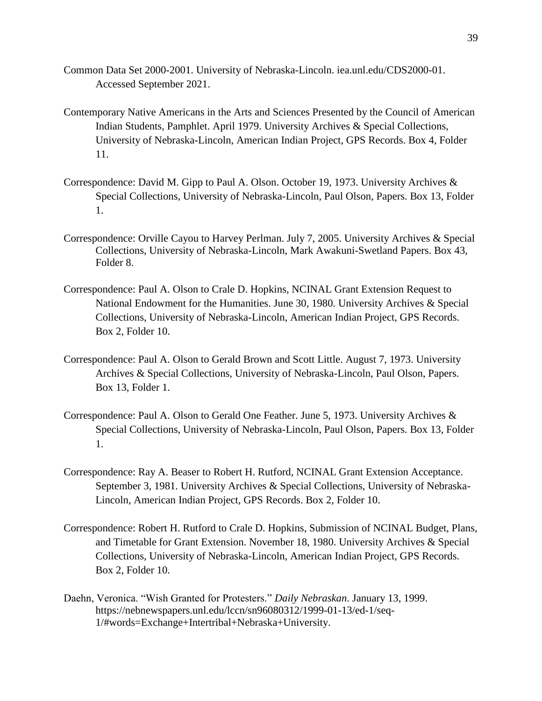- Common Data Set 2000-2001. University of Nebraska-Lincoln. iea.unl.edu/CDS2000-01. Accessed September 2021.
- Contemporary Native Americans in the Arts and Sciences Presented by the Council of American Indian Students, Pamphlet. April 1979. University Archives & Special Collections, University of Nebraska-Lincoln, American Indian Project, GPS Records. Box 4, Folder 11.
- Correspondence: David M. Gipp to Paul A. Olson. October 19, 1973. University Archives & Special Collections, University of Nebraska-Lincoln, Paul Olson, Papers. Box 13, Folder 1.
- Correspondence: Orville Cayou to Harvey Perlman. July 7, 2005. University Archives & Special Collections, University of Nebraska-Lincoln, Mark Awakuni-Swetland Papers. Box 43, Folder 8.
- Correspondence: Paul A. Olson to Crale D. Hopkins, NCINAL Grant Extension Request to National Endowment for the Humanities. June 30, 1980. University Archives & Special Collections, University of Nebraska-Lincoln, American Indian Project, GPS Records. Box 2, Folder 10.
- Correspondence: Paul A. Olson to Gerald Brown and Scott Little. August 7, 1973. University Archives & Special Collections, University of Nebraska-Lincoln, Paul Olson, Papers. Box 13, Folder 1.
- Correspondence: Paul A. Olson to Gerald One Feather. June 5, 1973. University Archives & Special Collections, University of Nebraska-Lincoln, Paul Olson, Papers. Box 13, Folder 1.
- Correspondence: Ray A. Beaser to Robert H. Rutford, NCINAL Grant Extension Acceptance. September 3, 1981. University Archives & Special Collections, University of Nebraska-Lincoln, American Indian Project, GPS Records. Box 2, Folder 10.
- Correspondence: Robert H. Rutford to Crale D. Hopkins, Submission of NCINAL Budget, Plans, and Timetable for Grant Extension. November 18, 1980. University Archives & Special Collections, University of Nebraska-Lincoln, American Indian Project, GPS Records. Box 2, Folder 10.
- Daehn, Veronica. "Wish Granted for Protesters." *Daily Nebraskan*. January 13, 1999. https://nebnewspapers.unl.edu/lccn/sn96080312/1999-01-13/ed-1/seq-1/#words=Exchange+Intertribal+Nebraska+University.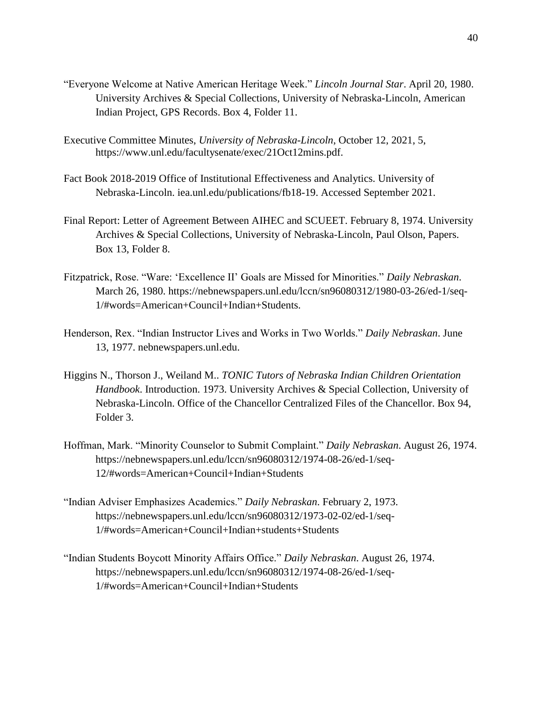- "Everyone Welcome at Native American Heritage Week." *Lincoln Journal Star*. April 20, 1980. University Archives & Special Collections, University of Nebraska-Lincoln, American Indian Project, GPS Records. Box 4, Folder 11.
- Executive Committee Minutes, *University of Nebraska-Lincoln*, October 12, 2021, 5, https://www.unl.edu/facultysenate/exec/21Oct12mins.pdf.
- Fact Book 2018-2019 Office of Institutional Effectiveness and Analytics. University of Nebraska-Lincoln. iea.unl.edu/publications/fb18-19. Accessed September 2021.
- Final Report: Letter of Agreement Between AIHEC and SCUEET. February 8, 1974. University Archives & Special Collections, University of Nebraska-Lincoln, Paul Olson, Papers. Box 13, Folder 8.
- Fitzpatrick, Rose. "Ware: 'Excellence II' Goals are Missed for Minorities." *Daily Nebraskan*. March 26, 1980. https://nebnewspapers.unl.edu/lccn/sn96080312/1980-03-26/ed-1/seq-1/#words=American+Council+Indian+Students.
- Henderson, Rex. "Indian Instructor Lives and Works in Two Worlds." *Daily Nebraskan*. June 13, 1977. nebnewspapers.unl.edu.
- Higgins N., Thorson J., Weiland M.. *TONIC Tutors of Nebraska Indian Children Orientation Handbook*. Introduction. 1973. University Archives & Special Collection, University of Nebraska-Lincoln. Office of the Chancellor Centralized Files of the Chancellor. Box 94, Folder 3.
- Hoffman, Mark. "Minority Counselor to Submit Complaint." *Daily Nebraskan*. August 26, 1974. https://nebnewspapers.unl.edu/lccn/sn96080312/1974-08-26/ed-1/seq-12/#words=American+Council+Indian+Students
- "Indian Adviser Emphasizes Academics." *Daily Nebraskan*. February 2, 1973. https://nebnewspapers.unl.edu/lccn/sn96080312/1973-02-02/ed-1/seq-1/#words=American+Council+Indian+students+Students
- "Indian Students Boycott Minority Affairs Office." *Daily Nebraskan*. August 26, 1974. https://nebnewspapers.unl.edu/lccn/sn96080312/1974-08-26/ed-1/seq-1/#words=American+Council+Indian+Students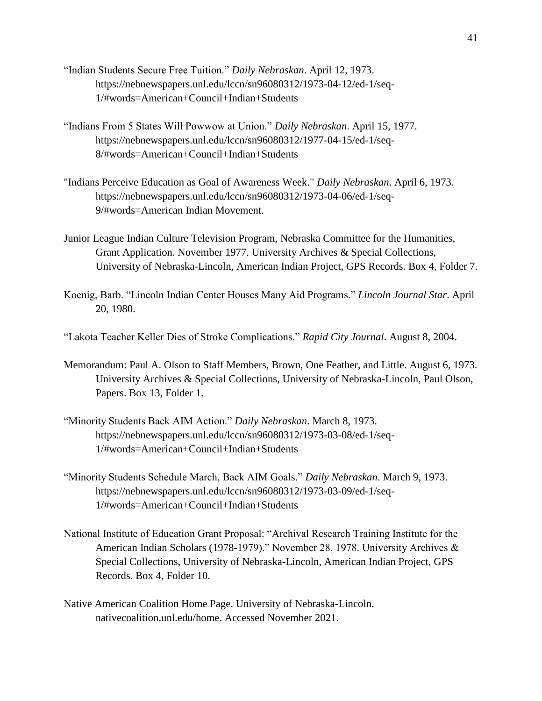- "Indian Students Secure Free Tuition." *Daily Nebraskan*. April 12, 1973. https://nebnewspapers.unl.edu/lccn/sn96080312/1973-04-12/ed-1/seq-1/#words=American+Council+Indian+Students
- "Indians From 5 States Will Powwow at Union." *Daily Nebraskan*. April 15, 1977. https://nebnewspapers.unl.edu/lccn/sn96080312/1977-04-15/ed-1/seq-8/#words=American+Council+Indian+Students
- "Indians Perceive Education as Goal of Awareness Week." *Daily Nebraskan*. April 6, 1973. https://nebnewspapers.unl.edu/lccn/sn96080312/1973-04-06/ed-1/seq-9/#words=American Indian Movement.
- Junior League Indian Culture Television Program, Nebraska Committee for the Humanities, Grant Application. November 1977. University Archives & Special Collections, University of Nebraska-Lincoln, American Indian Project, GPS Records. Box 4, Folder 7.
- Koenig, Barb. "Lincoln Indian Center Houses Many Aid Programs." *Lincoln Journal Star*. April 20, 1980.

"Lakota Teacher Keller Dies of Stroke Complications." *Rapid City Journal*. August 8, 2004.

- Memorandum: Paul A. Olson to Staff Members, Brown, One Feather, and Little. August 6, 1973. University Archives & Special Collections, University of Nebraska-Lincoln, Paul Olson, Papers. Box 13, Folder 1.
- "Minority Students Back AIM Action." *Daily Nebraskan*. March 8, 1973. https://nebnewspapers.unl.edu/lccn/sn96080312/1973-03-08/ed-1/seq-1/#words=American+Council+Indian+Students
- "Minority Students Schedule March, Back AIM Goals." *Daily Nebraskan*. March 9, 1973. https://nebnewspapers.unl.edu/lccn/sn96080312/1973-03-09/ed-1/seq-1/#words=American+Council+Indian+Students
- National Institute of Education Grant Proposal: "Archival Research Training Institute for the American Indian Scholars (1978-1979)." November 28, 1978. University Archives & Special Collections, University of Nebraska-Lincoln, American Indian Project, GPS Records. Box 4, Folder 10.
- Native American Coalition Home Page. University of Nebraska-Lincoln. nativecoalition.unl.edu/home. Accessed November 2021.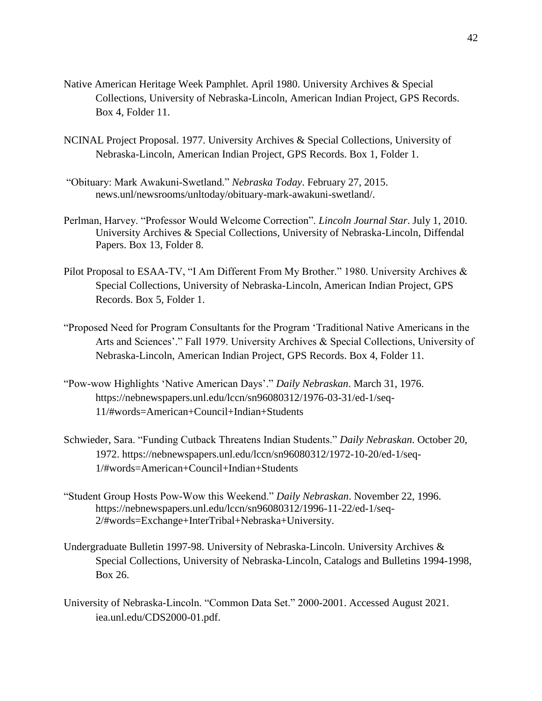- Native American Heritage Week Pamphlet. April 1980. University Archives & Special Collections, University of Nebraska-Lincoln, American Indian Project, GPS Records. Box 4, Folder 11.
- NCINAL Project Proposal. 1977. University Archives & Special Collections, University of Nebraska-Lincoln, American Indian Project, GPS Records. Box 1, Folder 1.
- "Obituary: Mark Awakuni-Swetland." *Nebraska Today*. February 27, 2015. news.unl/newsrooms/unltoday/obituary-mark-awakuni-swetland/.
- Perlman, Harvey. "Professor Would Welcome Correction". *Lincoln Journal Star*. July 1, 2010. University Archives & Special Collections, University of Nebraska-Lincoln, Diffendal Papers. Box 13, Folder 8.
- Pilot Proposal to ESAA-TV, "I Am Different From My Brother." 1980. University Archives & Special Collections, University of Nebraska-Lincoln, American Indian Project, GPS Records. Box 5, Folder 1.
- "Proposed Need for Program Consultants for the Program 'Traditional Native Americans in the Arts and Sciences'." Fall 1979. University Archives & Special Collections, University of Nebraska-Lincoln, American Indian Project, GPS Records. Box 4, Folder 11.
- "Pow-wow Highlights 'Native American Days'." *Daily Nebraskan*. March 31, 1976. https://nebnewspapers.unl.edu/lccn/sn96080312/1976-03-31/ed-1/seq-11/#words=American+Council+Indian+Students
- Schwieder, Sara. "Funding Cutback Threatens Indian Students." *Daily Nebraskan*. October 20, 1972. https://nebnewspapers.unl.edu/lccn/sn96080312/1972-10-20/ed-1/seq-1/#words=American+Council+Indian+Students
- "Student Group Hosts Pow-Wow this Weekend." *Daily Nebraskan*. November 22, 1996. https://nebnewspapers.unl.edu/lccn/sn96080312/1996-11-22/ed-1/seq-2/#words=Exchange+InterTribal+Nebraska+University.
- Undergraduate Bulletin 1997-98. University of Nebraska-Lincoln. University Archives & Special Collections, University of Nebraska-Lincoln, Catalogs and Bulletins 1994-1998, Box 26.
- University of Nebraska-Lincoln. "Common Data Set." 2000-2001. Accessed August 2021. iea.unl.edu/CDS2000-01.pdf.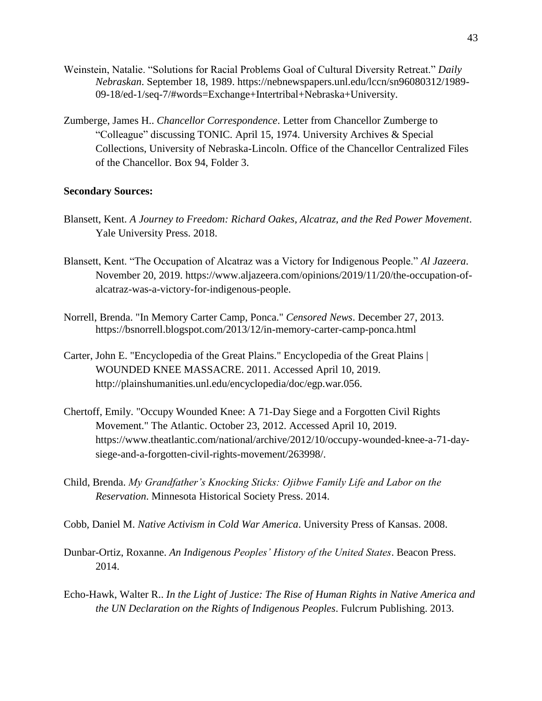- Weinstein, Natalie. "Solutions for Racial Problems Goal of Cultural Diversity Retreat." *Daily Nebraskan*. September 18, 1989. https://nebnewspapers.unl.edu/lccn/sn96080312/1989- 09-18/ed-1/seq-7/#words=Exchange+Intertribal+Nebraska+University.
- Zumberge, James H.. *Chancellor Correspondence*. Letter from Chancellor Zumberge to "Colleague" discussing TONIC. April 15, 1974. University Archives & Special Collections, University of Nebraska-Lincoln. Office of the Chancellor Centralized Files of the Chancellor. Box 94, Folder 3.

#### **Secondary Sources:**

- Blansett, Kent. *A Journey to Freedom: Richard Oakes, Alcatraz, and the Red Power Movement*. Yale University Press. 2018.
- Blansett, Kent. "The Occupation of Alcatraz was a Victory for Indigenous People." *Al Jazeera*. November 20, 2019. https://www.aljazeera.com/opinions/2019/11/20/the-occupation-ofalcatraz-was-a-victory-for-indigenous-people.
- Norrell, Brenda. "In Memory Carter Camp, Ponca." *Censored News*. December 27, 2013. https://bsnorrell.blogspot.com/2013/12/in-memory-carter-camp-ponca.html
- Carter, John E. "Encyclopedia of the Great Plains." Encyclopedia of the Great Plains | WOUNDED KNEE MASSACRE. 2011. Accessed April 10, 2019. http://plainshumanities.unl.edu/encyclopedia/doc/egp.war.056.
- Chertoff, Emily. "Occupy Wounded Knee: A 71-Day Siege and a Forgotten Civil Rights Movement." The Atlantic. October 23, 2012. Accessed April 10, 2019. https://www.theatlantic.com/national/archive/2012/10/occupy-wounded-knee-a-71-daysiege-and-a-forgotten-civil-rights-movement/263998/.
- Child, Brenda. *My Grandfather's Knocking Sticks: Ojibwe Family Life and Labor on the Reservation*. Minnesota Historical Society Press. 2014.
- Cobb, Daniel M. *Native Activism in Cold War America*. University Press of Kansas. 2008.
- Dunbar-Ortiz, Roxanne. *An Indigenous Peoples' History of the United States*. Beacon Press. 2014.
- Echo-Hawk, Walter R.. *In the Light of Justice: The Rise of Human Rights in Native America and the UN Declaration on the Rights of Indigenous Peoples*. Fulcrum Publishing. 2013.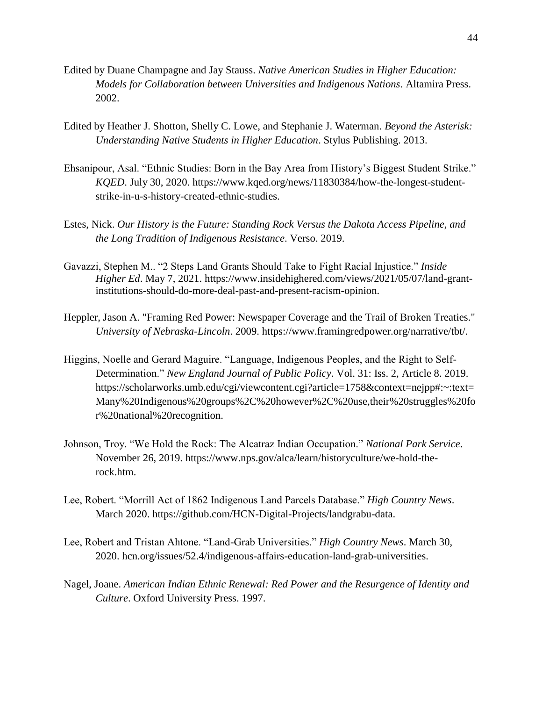- Edited by Duane Champagne and Jay Stauss. *Native American Studies in Higher Education: Models for Collaboration between Universities and Indigenous Nations*. Altamira Press. 2002.
- Edited by Heather J. Shotton, Shelly C. Lowe, and Stephanie J. Waterman. *Beyond the Asterisk: Understanding Native Students in Higher Education*. Stylus Publishing. 2013.
- Ehsanipour, Asal. "Ethnic Studies: Born in the Bay Area from History's Biggest Student Strike." *KQED*. July 30, 2020. https://www.kqed.org/news/11830384/how-the-longest-studentstrike-in-u-s-history-created-ethnic-studies.
- Estes, Nick. *Our History is the Future: Standing Rock Versus the Dakota Access Pipeline, and the Long Tradition of Indigenous Resistance*. Verso. 2019.
- Gavazzi, Stephen M.. "2 Steps Land Grants Should Take to Fight Racial Injustice." *Inside Higher Ed*. May 7, 2021. https://www.insidehighered.com/views/2021/05/07/land-grantinstitutions-should-do-more-deal-past-and-present-racism-opinion.
- Heppler, Jason A. "Framing Red Power: Newspaper Coverage and the Trail of Broken Treaties." *University of Nebraska-Lincoln*. 2009. https://www.framingredpower.org/narrative/tbt/.
- Higgins, Noelle and Gerard Maguire. "Language, Indigenous Peoples, and the Right to Self-Determination." *New England Journal of Public Policy*. Vol. 31: Iss. 2, Article 8. 2019. https://scholarworks.umb.edu/cgi/viewcontent.cgi?article=1758&context=nejpp#:~:text= Many%20Indigenous%20groups%2C%20however%2C%20use,their%20struggles%20fo r%20national%20recognition.
- Johnson, Troy. "We Hold the Rock: The Alcatraz Indian Occupation." *National Park Service*. November 26, 2019. https://www.nps.gov/alca/learn/historyculture/we-hold-therock.htm.
- Lee, Robert. "Morrill Act of 1862 Indigenous Land Parcels Database." *High Country News*. March 2020. https://github.com/HCN-Digital-Projects/landgrabu-data.
- Lee, Robert and Tristan Ahtone. "Land-Grab Universities." *High Country News*. March 30, 2020. hcn.org/issues/52.4/indigenous-affairs-education-land-grab-universities.
- Nagel, Joane. *American Indian Ethnic Renewal: Red Power and the Resurgence of Identity and Culture*. Oxford University Press. 1997.